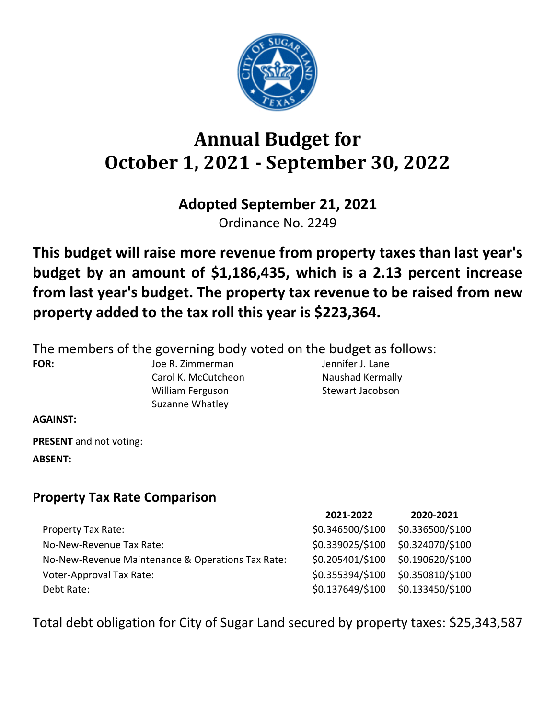

# **Annual Budget for October 1, 2021 - September 30, 2022**

# **Adopted September 21, 2021**

Ordinance No. 2249

**This budget will raise more revenue from property taxes than last year's budget by an amount of \$1,186,435, which is a 2.13 percent increase from last year's budget. The property tax revenue to be raised from new property added to the tax roll this year is \$223,364.**

The members of the governing body voted on the budget as follows:

**FOR:** Joe R. Zimmerman Jennifer J. Lane Carol K. McCutcheon Naushad Kermally William Ferguson Stewart Jacobson Suzanne Whatley

**AGAINST:**

**PRESENT** and not voting: **ABSENT:**

**Property Tax Rate Comparison**

|                                                   | 2021-2022        | 2020-2021                         |
|---------------------------------------------------|------------------|-----------------------------------|
| <b>Property Tax Rate:</b>                         | \$0.346500/\$100 | \$0.336500/\$100                  |
| No-New-Revenue Tax Rate:                          | \$0.339025/\$100 | \$0.324070/\$100                  |
| No-New-Revenue Maintenance & Operations Tax Rate: |                  | \$0.205401/\$100 \$0.190620/\$100 |
| <b>Voter-Approval Tax Rate:</b>                   | \$0.355394/\$100 | \$0.350810/\$100                  |
| Debt Rate:                                        | \$0.137649/\$100 | \$0.133450/\$100                  |

Total debt obligation for City of Sugar Land secured by property taxes: \$25,343,587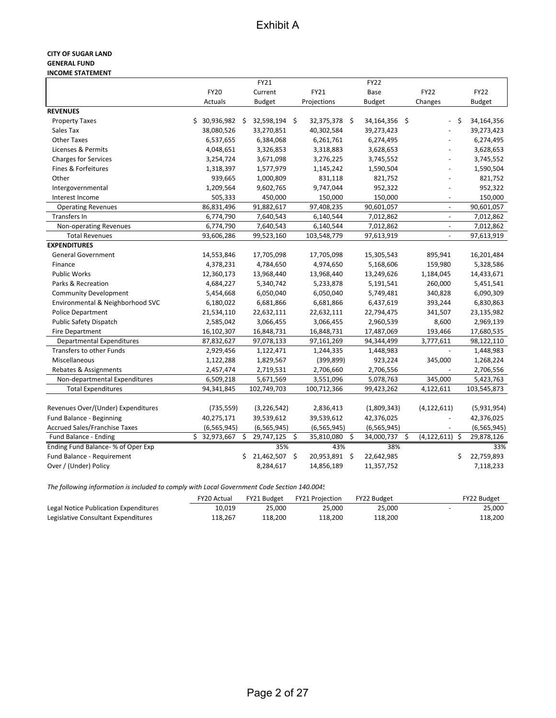#### **CITY OF SUGAR LAND GENERAL FUND INCOME STATEMENT**

|                                      |                     |     | FY21          |                  | <b>FY22</b>      |                          |     |               |
|--------------------------------------|---------------------|-----|---------------|------------------|------------------|--------------------------|-----|---------------|
|                                      | <b>FY20</b>         |     | Current       | FY21             | Base             | <b>FY22</b>              |     | <b>FY22</b>   |
|                                      | Actuals             |     | <b>Budget</b> | Projections      | <b>Budget</b>    | Changes                  |     | <b>Budget</b> |
| <b>REVENUES</b>                      |                     |     |               |                  |                  |                          |     |               |
| <b>Property Taxes</b>                | 30,936,982 \$<br>\$ |     | 32,598,194 \$ | 32,375,378 \$    | 34,164,356 \$    | $\overline{\phantom{a}}$ | Ŝ.  | 34,164,356    |
| Sales Tax                            | 38,080,526          |     | 33,270,851    | 40,302,584       | 39,273,423       |                          |     | 39,273,423    |
| <b>Other Taxes</b>                   | 6,537,655           |     | 6,384,068     | 6,261,761        | 6,274,495        |                          |     | 6,274,495     |
| Licenses & Permits                   | 4,048,651           |     | 3,326,853     | 3,318,883        | 3,628,653        |                          |     | 3,628,653     |
| <b>Charges for Services</b>          | 3,254,724           |     | 3,671,098     | 3,276,225        | 3,745,552        |                          |     | 3,745,552     |
| Fines & Forfeitures                  | 1,318,397           |     | 1,577,979     | 1,145,242        | 1,590,504        |                          |     | 1,590,504     |
| Other                                | 939,665             |     | 1,000,809     | 831,118          | 821,752          | ÷,                       |     | 821,752       |
| Intergovernmental                    | 1,209,564           |     | 9,602,765     | 9,747,044        | 952,322          | ÷,                       |     | 952,322       |
| Interest Income                      | 505,333             |     | 450,000       | 150,000          | 150,000          | $\overline{a}$           |     | 150,000       |
| <b>Operating Revenues</b>            | 86,831,496          |     | 91,882,617    | 97,408,235       | 90,601,057       | $\overline{\phantom{a}}$ |     | 90,601,057    |
| <b>Transfers In</b>                  | 6,774,790           |     | 7,640,543     | 6,140,544        | 7,012,862        | $\blacksquare$           |     | 7,012,862     |
| Non-operating Revenues               | 6,774,790           |     | 7,640,543     | 6,140,544        | 7,012,862        | $\blacksquare$           |     | 7,012,862     |
| <b>Total Revenues</b>                | 93,606,286          |     | 99,523,160    | 103,548,779      | 97,613,919       | $\overline{\phantom{a}}$ |     | 97,613,919    |
| <b>EXPENDITURES</b>                  |                     |     |               |                  |                  |                          |     |               |
| <b>General Government</b>            | 14,553,846          |     | 17,705,098    | 17,705,098       | 15,305,543       | 895,941                  |     | 16,201,484    |
| Finance                              | 4,378,231           |     | 4,784,650     | 4,974,650        | 5,168,606        | 159,980                  |     | 5,328,586     |
| <b>Public Works</b>                  | 12,360,173          |     | 13,968,440    | 13,968,440       | 13,249,626       | 1,184,045                |     | 14,433,671    |
| Parks & Recreation                   | 4,684,227           |     | 5,340,742     | 5,233,878        | 5,191,541        | 260,000                  |     | 5,451,541     |
| <b>Community Development</b>         | 5,454,668           |     | 6,050,040     | 6,050,040        | 5,749,481        | 340,828                  |     | 6,090,309     |
| Environmental & Neighborhood SVC     | 6,180,022           |     | 6,681,866     | 6,681,866        | 6,437,619        | 393,244                  |     | 6,830,863     |
| <b>Police Department</b>             | 21,534,110          |     | 22,632,111    | 22,632,111       | 22,794,475       | 341,507                  |     | 23,135,982    |
| Public Safety Dispatch               | 2,585,042           |     | 3,066,455     | 3,066,455        | 2,960,539        | 8,600                    |     | 2,969,139     |
| <b>Fire Department</b>               | 16,102,307          |     | 16,848,731    | 16,848,731       | 17,487,069       | 193,466                  |     | 17,680,535    |
| <b>Departmental Expenditures</b>     | 87,832,627          |     | 97,078,133    | 97,161,269       | 94,344,499       | 3,777,611                |     | 98,122,110    |
| <b>Transfers to other Funds</b>      | 2,929,456           |     | 1,122,471     | 1,244,335        | 1,448,983        | $\overline{a}$           |     | 1,448,983     |
| Miscellaneous                        | 1,122,288           |     | 1,829,567     | (399, 899)       | 923,224          | 345,000                  |     | 1,268,224     |
| Rebates & Assignments                | 2,457,474           |     | 2,719,531     | 2,706,660        | 2,706,556        | $\overline{\phantom{a}}$ |     | 2,706,556     |
| Non-departmental Expenditures        | 6,509,218           |     | 5,671,569     | 3,551,096        | 5,078,763        | 345,000                  |     | 5,423,763     |
| <b>Total Expenditures</b>            | 94,341,845          |     | 102,749,703   | 100,712,366      | 99,423,262       | 4,122,611                |     | 103,545,873   |
|                                      |                     |     |               |                  |                  |                          |     |               |
| Revenues Over/(Under) Expenditures   | (735, 559)          |     | (3, 226, 542) | 2,836,413        | (1,809,343)      | (4, 122, 611)            |     | (5,931,954)   |
| Fund Balance - Beginning             | 40,275,171          |     | 39,539,612    | 39,539,612       | 42,376,025       |                          |     | 42,376,025    |
| <b>Accrued Sales/Franchise Taxes</b> | (6, 565, 945)       |     | (6, 565, 945) | (6, 565, 945)    | (6, 565, 945)    |                          |     | (6, 565, 945) |
| Fund Balance - Ending                | \$32,973,667        | \$  | 29,747,125    | \$<br>35,810,080 | \$<br>34,000,737 | \$<br>(4, 122, 611)      | -\$ | 29,878,126    |
| Ending Fund Balance- % of Oper Exp   |                     |     | 35%           | 43%              | 38%              |                          |     | 33%           |
| Fund Balance - Requirement           |                     | \$. | 21,462,507 \$ | 20,953,891       | \$<br>22,642,985 |                          | \$  | 22,759,893    |
| Over / (Under) Policy                |                     |     | 8,284,617     | 14,856,189       | 11,357,752       |                          |     | 7,118,233     |

*The following information is included to comply with Local Government Code Section 140.0045*

|                                       | <b>FY20 Actual</b> | FY21 Budget | FY21 Proiection | FY22 Budget | FY22 Budget |
|---------------------------------------|--------------------|-------------|-----------------|-------------|-------------|
| Legal Notice Publication Expenditures | 10.019             | 25.000      | 25.000          | 25.000      | 25.000      |
| Legislative Consultant Expenditures   | 118.267            | 118.200     | 118.200         | 118.200     | 118,200     |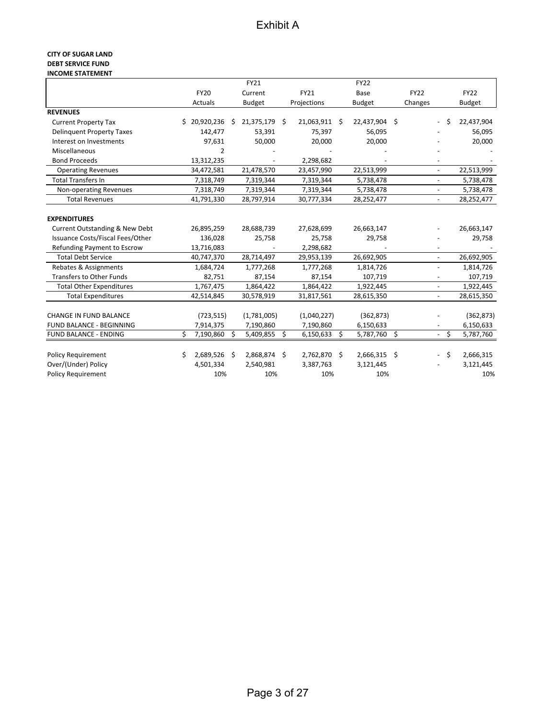#### **CITY OF SUGAR LAND DEBT SERVICE FUND INCOME STATEMENT**

|                                  |    |              |    | FY21          |    |                | <b>FY22</b>   |             |                          |    |               |
|----------------------------------|----|--------------|----|---------------|----|----------------|---------------|-------------|--------------------------|----|---------------|
|                                  |    | <b>FY20</b>  |    | Current       |    | FY21           | Base          | <b>FY22</b> |                          |    | <b>FY22</b>   |
|                                  |    | Actuals      |    | <b>Budget</b> |    | Projections    | <b>Budget</b> | Changes     |                          |    | <b>Budget</b> |
| <b>REVENUES</b>                  |    |              |    |               |    |                |               |             |                          |    |               |
| <b>Current Property Tax</b>      |    | \$20,920,236 | Ŝ. | 21,375,179    | Ŝ. | 21,063,911 \$  | 22,437,904 \$ |             |                          | Ŝ. | 22,437,904    |
| <b>Delinquent Property Taxes</b> |    | 142,477      |    | 53,391        |    | 75,397         | 56,095        |             |                          |    | 56,095        |
| Interest on Investments          |    | 97,631       |    | 50,000        |    | 20,000         | 20,000        |             |                          |    | 20,000        |
| Miscellaneous                    |    | 2            |    |               |    |                |               |             |                          |    |               |
| <b>Bond Proceeds</b>             |    | 13,312,235   |    |               |    | 2,298,682      |               |             |                          |    |               |
| <b>Operating Revenues</b>        |    | 34,472,581   |    | 21,478,570    |    | 23,457,990     | 22,513,999    |             | $\overline{\phantom{a}}$ |    | 22,513,999    |
| <b>Total Transfers In</b>        |    | 7,318,749    |    | 7,319,344     |    | 7,319,344      | 5,738,478     |             |                          |    | 5,738,478     |
| Non-operating Revenues           |    | 7,318,749    |    | 7,319,344     |    | 7,319,344      | 5,738,478     |             | $\overline{a}$           |    | 5,738,478     |
| <b>Total Revenues</b>            |    | 41,791,330   |    | 28,797,914    |    | 30,777,334     | 28,252,477    |             | $\blacksquare$           |    | 28,252,477    |
|                                  |    |              |    |               |    |                |               |             |                          |    |               |
| <b>EXPENDITURES</b>              |    |              |    |               |    |                |               |             |                          |    |               |
| Current Outstanding & New Debt   |    | 26,895,259   |    | 28,688,739    |    | 27,628,699     | 26,663,147    |             |                          |    | 26,663,147    |
| Issuance Costs/Fiscal Fees/Other |    | 136,028      |    | 25,758        |    | 25,758         | 29,758        |             |                          |    | 29,758        |
| Refunding Payment to Escrow      |    | 13,716,083   |    |               |    | 2,298,682      |               |             |                          |    |               |
| <b>Total Debt Service</b>        |    | 40,747,370   |    | 28,714,497    |    | 29,953,139     | 26,692,905    |             | $\blacksquare$           |    | 26,692,905    |
| Rebates & Assignments            |    | 1,684,724    |    | 1,777,268     |    | 1,777,268      | 1,814,726     |             |                          |    | 1,814,726     |
| <b>Transfers to Other Funds</b>  |    | 82,751       |    | 87,154        |    | 87,154         | 107,719       |             |                          |    | 107,719       |
| <b>Total Other Expenditures</b>  |    | 1,767,475    |    | 1,864,422     |    | 1,864,422      | 1,922,445     |             |                          |    | 1,922,445     |
| <b>Total Expenditures</b>        |    | 42,514,845   |    | 30,578,919    |    | 31,817,561     | 28,615,350    |             | $\blacksquare$           |    | 28,615,350    |
|                                  |    |              |    |               |    |                |               |             |                          |    |               |
| <b>CHANGE IN FUND BALANCE</b>    |    | (723, 515)   |    | (1,781,005)   |    | (1,040,227)    | (362, 873)    |             |                          |    | (362, 873)    |
| <b>FUND BALANCE - BEGINNING</b>  |    | 7,914,375    |    | 7,190,860     |    | 7,190,860      | 6,150,633     |             |                          |    | 6,150,633     |
| <b>FUND BALANCE - ENDING</b>     | Ś. | 7,190,860    | Ŝ. | 5,409,855     | \$ | $6,150,633$ \$ | 5,787,760 \$  |             | $\overline{\phantom{a}}$ | \$ | 5,787,760     |
|                                  |    |              |    |               |    |                |               |             |                          |    |               |
| <b>Policy Requirement</b>        | S  | 2,689,526    | \$ | 2,868,874     | Ŝ. | 2,762,870 \$   | 2,666,315 \$  |             | $\overline{\phantom{0}}$ | \$ | 2,666,315     |
| Over/(Under) Policy              |    | 4,501,334    |    | 2,540,981     |    | 3,387,763      | 3,121,445     |             |                          |    | 3,121,445     |
| <b>Policy Requirement</b>        |    | 10%          |    | 10%           |    | 10%            | 10%           |             |                          |    | 10%           |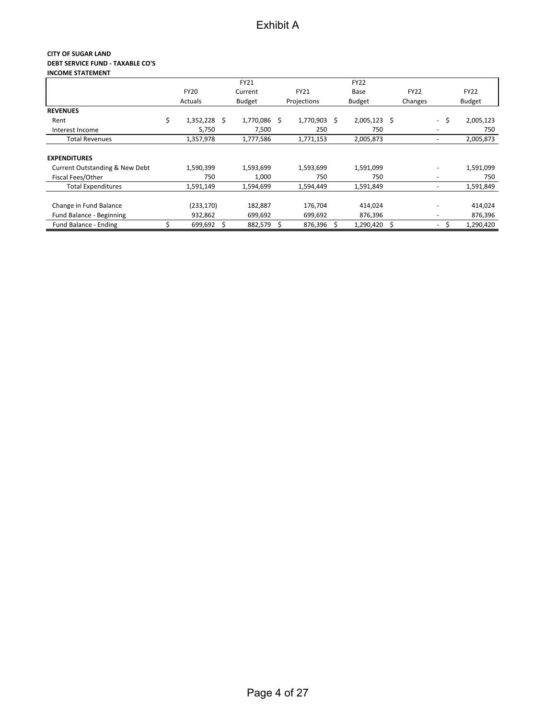#### **CITY OF SUGAR LAND DEBT SERVICE FUND - TAXABLE CO'S INCOME STATEMENT**

|                                           |                 |    | FY21          |             |     | <b>FY22</b>    |  |             |                          |      |                          |  |         |
|-------------------------------------------|-----------------|----|---------------|-------------|-----|----------------|--|-------------|--------------------------|------|--------------------------|--|---------|
|                                           | <b>FY20</b>     |    | Current       | <b>FY21</b> |     | Base           |  | <b>FY22</b> |                          |      | <b>FY22</b>              |  |         |
|                                           | Actuals         |    | <b>Budget</b> | Projections |     | <b>Budget</b>  |  | Changes     |                          |      | <b>Budget</b>            |  |         |
| <b>REVENUES</b>                           |                 |    |               |             |     |                |  |             |                          |      |                          |  |         |
| Rent                                      | \$<br>1,352,228 | Ś. | 1,770,086 \$  | 1,770,903   | - S | $2,005,123$ \$ |  |             |                          | - \$ | 2,005,123                |  |         |
| Interest Income                           | 5,750           |    | 7,500         | 250         |     | 750            |  |             | $\overline{\phantom{0}}$ |      | 750                      |  |         |
| <b>Total Revenues</b>                     | 1,357,978       |    | 1,777,586     | 1,771,153   |     | 2,005,873      |  |             | $\overline{\phantom{a}}$ |      | 2,005,873                |  |         |
| <b>EXPENDITURES</b>                       |                 |    |               |             |     |                |  |             |                          |      |                          |  |         |
| <b>Current Outstanding &amp; New Debt</b> | 1,590,399       |    | 1,593,699     | 1,593,699   |     | 1,591,099      |  |             | $\overline{\phantom{a}}$ |      | 1,591,099                |  |         |
| Fiscal Fees/Other                         | 750             |    | 1,000         | 750         |     | 750            |  |             | $\overline{\phantom{a}}$ |      | 750                      |  |         |
| <b>Total Expenditures</b>                 | 1,591,149       |    | 1,594,699     | 1,594,449   |     | 1,591,849      |  |             | $\overline{\phantom{a}}$ |      | 1,591,849                |  |         |
| Change in Fund Balance                    | (233, 170)      |    | 182,887       | 176,704     |     | 414,024        |  |             |                          |      | $\overline{\phantom{a}}$ |  | 414,024 |
| Fund Balance - Beginning                  | 932,862         |    | 699,692       | 699,692     |     | 876,396        |  |             | $\overline{\phantom{a}}$ |      | 876,396                  |  |         |
| Fund Balance - Ending                     | 699,692         | Ś  | 882,579 \$    | 876,396 \$  |     | 1,290,420 \$   |  |             | $\sim$                   | -\$  | 1,290,420                |  |         |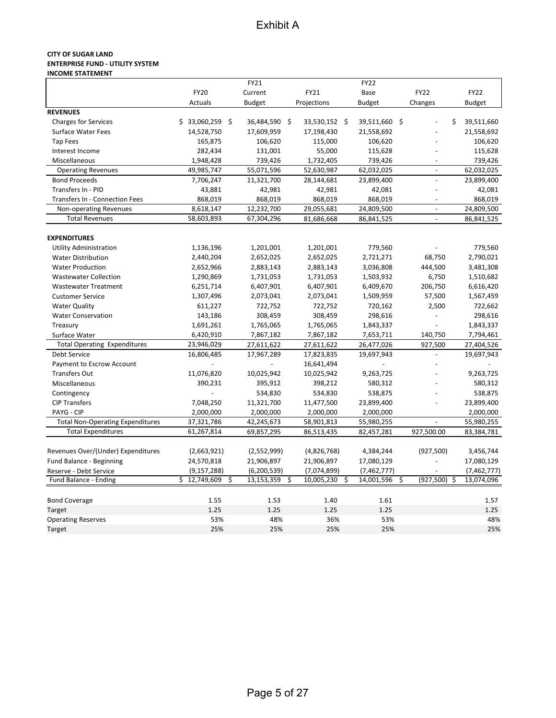#### **CITY OF SUGAR LAND ENTERPRISE FUND ‐ UTILITY SYSTEM INCOME STATEMENT**

|                                         |                  | FY21             |                  | <b>FY22</b>      |                          |               |
|-----------------------------------------|------------------|------------------|------------------|------------------|--------------------------|---------------|
|                                         | <b>FY20</b>      | Current          | <b>FY21</b>      | Base             | <b>FY22</b>              | <b>FY22</b>   |
|                                         | Actuals          | <b>Budget</b>    | Projections      | <b>Budget</b>    | Changes                  | <b>Budget</b> |
| <b>REVENUES</b>                         |                  |                  |                  |                  |                          |               |
| <b>Charges for Services</b>             | $$33,060,259$ \$ | 36,484,590 \$    | 33,530,152 \$    | 39,511,660 \$    | \$                       | 39,511,660    |
| <b>Surface Water Fees</b>               | 14,528,750       | 17,609,959       | 17,198,430       | 21,558,692       |                          | 21,558,692    |
| <b>Tap Fees</b>                         | 165,875          | 106,620          | 115,000          | 106,620          |                          | 106,620       |
| Interest Income                         | 282,434          | 131,001          | 55,000           | 115,628          |                          | 115,628       |
| Miscellaneous                           | 1,948,428        | 739,426          | 1,732,405        | 739,426          | $\overline{\phantom{a}}$ | 739,426       |
| <b>Operating Revenues</b>               | 49,985,747       | 55,071,596       | 52,630,987       | 62,032,025       | $\overline{a}$           | 62,032,025    |
| <b>Bond Proceeds</b>                    | 7,706,247        | 11,321,700       | 28,144,681       | 23,899,400       |                          | 23,899,400    |
| Transfers In - PID                      | 43,881           | 42,981           | 42,981           | 42,081           |                          | 42,081        |
| Transfers In - Connection Fees          | 868,019          | 868,019          | 868,019          | 868,019          |                          | 868,019       |
| Non-operating Revenues                  | 8,618,147        | 12,232,700       | 29,055,681       | 24,809,500       | $\blacksquare$           | 24,809,500    |
| <b>Total Revenues</b>                   | 58,603,893       | 67,304,296       | 81,686,668       | 86,841,525       | $\overline{a}$           | 86,841,525    |
|                                         |                  |                  |                  |                  |                          |               |
| <b>EXPENDITURES</b>                     |                  |                  |                  |                  |                          |               |
| <b>Utility Administration</b>           | 1,136,196        | 1,201,001        | 1,201,001        | 779,560          |                          | 779,560       |
| <b>Water Distribution</b>               | 2,440,204        | 2,652,025        | 2,652,025        | 2,721,271        | 68,750                   | 2,790,021     |
| <b>Water Production</b>                 | 2,652,966        | 2,883,143        | 2,883,143        | 3,036,808        | 444,500                  | 3,481,308     |
| <b>Wastewater Collection</b>            | 1,290,869        | 1,731,053        | 1,731,053        | 1,503,932        | 6,750                    | 1,510,682     |
| <b>Wastewater Treatment</b>             | 6,251,714        | 6,407,901        | 6,407,901        | 6,409,670        | 206,750                  | 6,616,420     |
| <b>Customer Service</b>                 | 1,307,496        | 2,073,041        | 2,073,041        | 1,509,959        | 57,500                   | 1,567,459     |
| <b>Water Quality</b>                    | 611,227          | 722,752          | 722,752          | 720,162          | 2,500                    | 722,662       |
| <b>Water Conservation</b>               | 143,186          | 308,459          | 308,459          | 298,616          |                          | 298,616       |
| Treasury                                | 1,691,261        | 1,765,065        | 1,765,065        | 1,843,337        |                          | 1,843,337     |
| Surface Water                           | 6,420,910        | 7,867,182        | 7,867,182        | 7,653,711        | 140,750                  | 7,794,461     |
| <b>Total Operating Expenditures</b>     | 23,946,029       | 27,611,622       | 27,611,622       | 26,477,026       | 927,500                  | 27,404,526    |
| Debt Service                            | 16,806,485       | 17,967,289       | 17,823,835       | 19,697,943       |                          | 19,697,943    |
| Payment to Escrow Account               |                  |                  | 16,641,494       |                  |                          |               |
| <b>Transfers Out</b>                    | 11,076,820       | 10,025,942       | 10,025,942       | 9,263,725        |                          | 9,263,725     |
| Miscellaneous                           | 390,231          | 395,912          | 398,212          | 580,312          |                          | 580,312       |
| Contingency                             |                  | 534,830          | 534,830          | 538,875          |                          | 538,875       |
| <b>CIP Transfers</b>                    | 7,048,250        | 11,321,700       | 11,477,500       | 23,899,400       |                          | 23,899,400    |
| PAYG - CIP                              | 2,000,000        | 2,000,000        | 2,000,000        | 2,000,000        |                          | 2,000,000     |
| <b>Total Non-Operating Expenditures</b> | 37,321,786       | 42,245,673       | 58,901,813       | 55,980,255       |                          | 55,980,255    |
| <b>Total Expenditures</b>               | 61,267,814       | 69,857,295       | 86,513,435       | 82,457,281       | 927,500.00               | 83,384,781    |
|                                         |                  |                  |                  |                  |                          |               |
| Revenues Over/(Under) Expenditures      | (2,663,921)      | (2,552,999)      | (4,826,768)      | 4,384,244        | (927, 500)               | 3,456,744     |
| Fund Balance - Beginning                | 24,570,818       | 21,906,897       | 21,906,897       | 17,080,129       |                          | 17,080,129    |
| Reserve - Debt Service                  | (9, 157, 288)    | (6, 200, 539)    | (7,074,899)      | (7,462,777)      |                          | (7,462,777)   |
| Fund Balance - Ending                   | \$12,749,609     | \$<br>13,153,359 | \$<br>10,005,230 | \$<br>14,001,596 | \$<br>(927, 500)<br>\$   | 13,074,096    |
|                                         |                  |                  |                  |                  |                          |               |
| <b>Bond Coverage</b>                    | 1.55             | 1.53             | 1.40             | 1.61             |                          | 1.57          |
| Target                                  | 1.25             | 1.25             | 1.25             | 1.25             |                          | 1.25          |
| <b>Operating Reserves</b>               | 53%              | 48%              | 36%              | 53%              |                          | 48%           |
| Target                                  | 25%              | 25%              | 25%              | 25%              |                          | 25%           |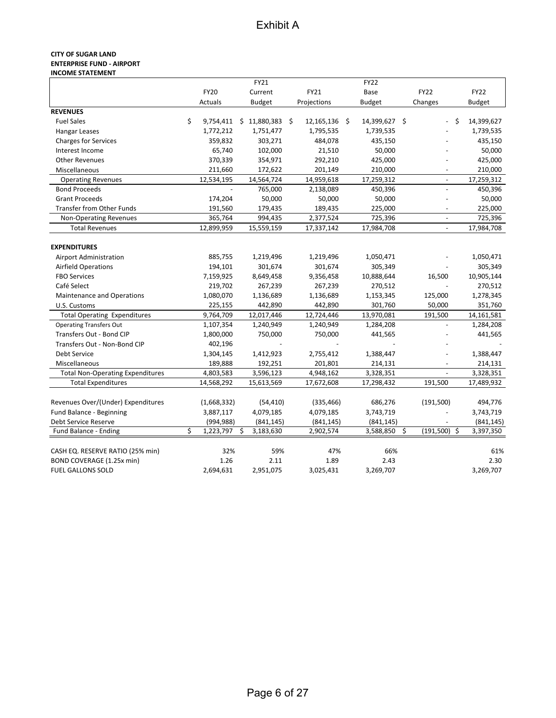#### **CITY OF SUGAR LAND ENTERPRISE FUND - AIRPORT INCOME STATEMENT**

|                                         |                 | FY21            |    |               | <b>FY22</b>   |                          |               |
|-----------------------------------------|-----------------|-----------------|----|---------------|---------------|--------------------------|---------------|
|                                         | <b>FY20</b>     | Current         |    | FY21          | Base          | <b>FY22</b>              | <b>FY22</b>   |
|                                         | Actuals         | <b>Budget</b>   |    | Projections   | <b>Budget</b> | Changes                  | <b>Budget</b> |
| <b>REVENUES</b>                         |                 |                 |    |               |               |                          |               |
| <b>Fuel Sales</b>                       | \$<br>9,754,411 | \$11,880,383    | Ŝ. | 12,165,136 \$ | 14,399,627 \$ | Ŝ.                       | 14,399,627    |
| Hangar Leases                           | 1,772,212       | 1,751,477       |    | 1,795,535     | 1,739,535     |                          | 1,739,535     |
| <b>Charges for Services</b>             | 359,832         | 303,271         |    | 484,078       | 435,150       |                          | 435,150       |
| Interest Income                         | 65,740          | 102,000         |    | 21,510        | 50,000        |                          | 50,000        |
| <b>Other Revenues</b>                   | 370,339         | 354,971         |    | 292,210       | 425,000       |                          | 425,000       |
| Miscellaneous                           | 211,660         | 172,622         |    | 201,149       | 210,000       |                          | 210,000       |
| <b>Operating Revenues</b>               | 12,534,195      | 14,564,724      |    | 14,959,618    | 17,259,312    | $\overline{\phantom{a}}$ | 17,259,312    |
| <b>Bond Proceeds</b>                    |                 | 765,000         |    | 2,138,089     | 450,396       | $\overline{a}$           | 450,396       |
| <b>Grant Proceeds</b>                   | 174,204         | 50,000          |    | 50,000        | 50,000        |                          | 50,000        |
| <b>Transfer from Other Funds</b>        | 191,560         | 179,435         |    | 189,435       | 225,000       | $\overline{\phantom{0}}$ | 225,000       |
| Non-Operating Revenues                  | 365,764         | 994,435         |    | 2,377,524     | 725,396       | $\overline{\phantom{a}}$ | 725,396       |
| <b>Total Revenues</b>                   | 12,899,959      | 15,559,159      |    | 17,337,142    | 17,984,708    | $\blacksquare$           | 17,984,708    |
|                                         |                 |                 |    |               |               |                          |               |
| <b>EXPENDITURES</b>                     |                 |                 |    |               |               |                          |               |
| <b>Airport Administration</b>           | 885,755         | 1,219,496       |    | 1,219,496     | 1,050,471     |                          | 1,050,471     |
| <b>Airfield Operations</b>              | 194,101         | 301,674         |    | 301,674       | 305,349       |                          | 305,349       |
| <b>FBO Services</b>                     | 7,159,925       | 8,649,458       |    | 9,356,458     | 10,888,644    | 16,500                   | 10,905,144    |
| Café Select                             | 219,702         | 267,239         |    | 267,239       | 270,512       |                          | 270,512       |
| Maintenance and Operations              | 1,080,070       | 1,136,689       |    | 1,136,689     | 1,153,345     | 125,000                  | 1,278,345     |
| U.S. Customs                            | 225,155         | 442,890         |    | 442,890       | 301,760       | 50,000                   | 351,760       |
| <b>Total Operating Expenditures</b>     | 9,764,709       | 12,017,446      |    | 12,724,446    | 13,970,081    | 191,500                  | 14,161,581    |
| <b>Operating Transfers Out</b>          | 1,107,354       | 1,240,949       |    | 1,240,949     | 1,284,208     |                          | 1,284,208     |
| Transfers Out - Bond CIP                | 1,800,000       | 750,000         |    | 750,000       | 441,565       |                          | 441,565       |
| Transfers Out - Non-Bond CIP            | 402,196         |                 |    |               |               |                          |               |
| Debt Service                            | 1,304,145       | 1,412,923       |    | 2,755,412     | 1,388,447     |                          | 1,388,447     |
| Miscellaneous                           | 189,888         | 192,251         |    | 201,801       | 214,131       |                          | 214,131       |
| <b>Total Non-Operating Expenditures</b> | 4,803,583       | 3,596,123       |    | 4,948,162     | 3,328,351     |                          | 3,328,351     |
| <b>Total Expenditures</b>               | 14,568,292      | 15,613,569      |    | 17,672,608    | 17,298,432    | 191,500                  | 17,489,932    |
|                                         |                 |                 |    |               |               |                          |               |
| Revenues Over/(Under) Expenditures      | (1,668,332)     | (54, 410)       |    | (335, 466)    | 686,276       | (191, 500)               | 494,776       |
| Fund Balance - Beginning                | 3,887,117       | 4,079,185       |    | 4,079,185     | 3,743,719     |                          | 3,743,719     |
| Debt Service Reserve                    | (994, 988)      | (841, 145)      |    | (841, 145)    | (841, 145)    |                          | (841, 145)    |
| Fund Balance - Ending                   | \$<br>1,223,797 | \$<br>3,183,630 |    | 2,902,574     | 3,588,850     | \$<br>$(191,500)$ \$     | 3,397,350     |
|                                         |                 |                 |    |               |               |                          |               |
| CASH EQ. RESERVE RATIO (25% min)        | 32%             | 59%             |    | 47%           | 66%           |                          | 61%           |
| BOND COVERAGE (1.25x min)               | 1.26            | 2.11            |    | 1.89          | 2.43          |                          | 2.30          |
| <b>FUEL GALLONS SOLD</b>                | 2,694,631       | 2,951,075       |    | 3,025,431     | 3,269,707     |                          | 3,269,707     |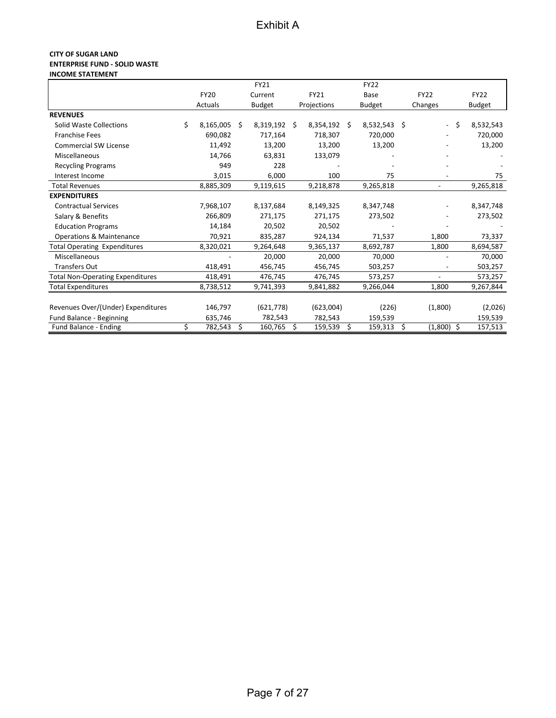#### **CITY OF SUGAR LAND ENTERPRISE FUND - SOLID WASTE INCOME STATEMENT**

|                                         |                 |    | FY21       |    |             |    | <b>FY22</b>    |      |                          |               |
|-----------------------------------------|-----------------|----|------------|----|-------------|----|----------------|------|--------------------------|---------------|
|                                         | <b>FY20</b>     |    | Current    |    | FY21        |    | Base           |      | <b>FY22</b>              | <b>FY22</b>   |
|                                         | Actuals         |    | Budget     |    | Projections |    | <b>Budget</b>  |      | Changes                  | <b>Budget</b> |
| <b>REVENUES</b>                         |                 |    |            |    |             |    |                |      |                          |               |
| Solid Waste Collections                 | \$<br>8,165,005 | Ś. | 8,319,192  | Ŝ. | 8,354,192   | Ŝ. | $8,532,543$ \$ |      | \$<br>$\sim$             | 8,532,543     |
| <b>Franchise Fees</b>                   | 690,082         |    | 717,164    |    | 718,307     |    | 720,000        |      |                          | 720,000       |
| <b>Commercial SW License</b>            | 11,492          |    | 13,200     |    | 13,200      |    | 13,200         |      |                          | 13,200        |
| Miscellaneous                           | 14,766          |    | 63,831     |    | 133,079     |    |                |      |                          |               |
| <b>Recycling Programs</b>               | 949             |    | 228        |    |             |    |                |      |                          |               |
| Interest Income                         | 3,015           |    | 6,000      |    | 100         |    | 75             |      |                          | 75            |
| <b>Total Revenues</b>                   | 8,885,309       |    | 9,119,615  |    | 9,218,878   |    | 9,265,818      |      | $\overline{a}$           | 9,265,818     |
| <b>EXPENDITURES</b>                     |                 |    |            |    |             |    |                |      |                          |               |
| <b>Contractual Services</b>             | 7,968,107       |    | 8,137,684  |    | 8,149,325   |    | 8,347,748      |      |                          | 8,347,748     |
| Salary & Benefits                       | 266,809         |    | 271,175    |    | 271,175     |    | 273,502        |      |                          | 273,502       |
| <b>Education Programs</b>               | 14,184          |    | 20,502     |    | 20,502      |    |                |      |                          |               |
| <b>Operations &amp; Maintenance</b>     | 70,921          |    | 835,287    |    | 924,134     |    | 71,537         |      | 1,800                    | 73,337        |
| <b>Total Operating Expenditures</b>     | 8,320,021       |    | 9,264,648  |    | 9,365,137   |    | 8,692,787      |      | 1,800                    | 8,694,587     |
| Miscellaneous                           |                 |    | 20,000     |    | 20,000      |    | 70,000         |      |                          | 70,000        |
| <b>Transfers Out</b>                    | 418,491         |    | 456,745    |    | 456,745     |    | 503,257        |      |                          | 503,257       |
| <b>Total Non-Operating Expenditures</b> | 418,491         |    | 476,745    |    | 476,745     |    | 573,257        |      | $\overline{\phantom{a}}$ | 573,257       |
| <b>Total Expenditures</b>               | 8,738,512       |    | 9,741,393  |    | 9,841,882   |    | 9,266,044      |      | 1,800                    | 9,267,844     |
|                                         |                 |    |            |    |             |    |                |      |                          |               |
| Revenues Over/(Under) Expenditures      | 146,797         |    | (621, 778) |    | (623,004)   |    | (226)          |      | (1,800)                  | (2,026)       |
| Fund Balance - Beginning                | 635,746         |    | 782,543    |    | 782,543     |    | 159,539        |      |                          | 159,539       |
| Fund Balance - Ending                   | \$<br>782,543   | \$ | 160,765    | \$ | 159,539     | \$ | 159,313        | - \$ | $(1,800)$ \$             | 157,513       |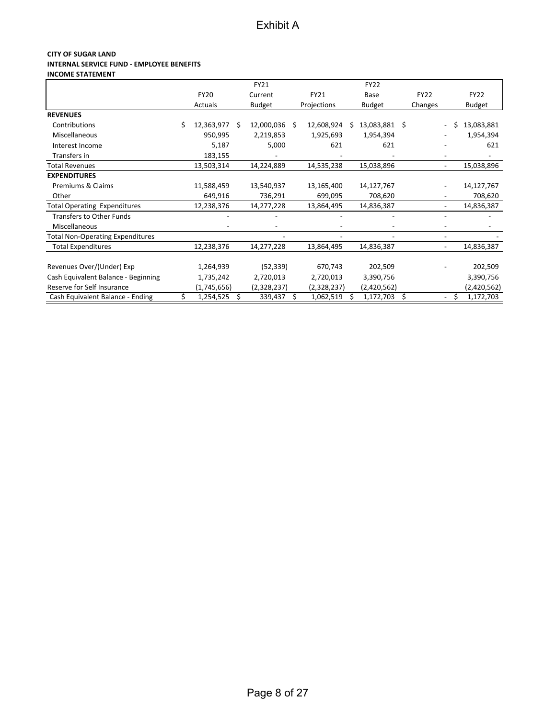#### **CITY OF SUGAR LAND INTERNAL SERVICE FUND - EMPLOYEE BENEFITS INCOME STATEMENT**

|                                         |    |             |    | FY21          |   |             |    | <b>FY22</b>   |             |                          |    |               |
|-----------------------------------------|----|-------------|----|---------------|---|-------------|----|---------------|-------------|--------------------------|----|---------------|
|                                         |    | <b>FY20</b> |    | Current       |   | FY21        |    | Base          | <b>FY22</b> |                          |    | <b>FY22</b>   |
|                                         |    | Actuals     |    | <b>Budget</b> |   | Projections |    | <b>Budget</b> | Changes     |                          |    | <b>Budget</b> |
| <b>REVENUES</b>                         |    |             |    |               |   |             |    |               |             |                          |    |               |
| Contributions                           | Ś  | 12,363,977  | Ŝ  | 12,000,036 \$ |   | 12,608,924  | Ś. | 13,083,881 \$ |             | $\overline{\phantom{0}}$ | Ś. | 13,083,881    |
| Miscellaneous                           |    | 950,995     |    | 2,219,853     |   | 1,925,693   |    | 1,954,394     |             |                          |    | 1,954,394     |
| Interest Income                         |    | 5,187       |    | 5,000         |   | 621         |    | 621           |             |                          |    | 621           |
| Transfers in                            |    | 183,155     |    |               |   |             |    |               |             |                          |    |               |
| <b>Total Revenues</b>                   |    | 13,503,314  |    | 14,224,889    |   | 14,535,238  |    | 15,038,896    |             |                          |    | 15,038,896    |
| <b>EXPENDITURES</b>                     |    |             |    |               |   |             |    |               |             |                          |    |               |
| Premiums & Claims                       |    | 11,588,459  |    | 13,540,937    |   | 13,165,400  |    | 14,127,767    |             |                          |    | 14,127,767    |
| Other                                   |    | 649,916     |    | 736,291       |   | 699,095     |    | 708,620       |             |                          |    | 708,620       |
| <b>Total Operating Expenditures</b>     |    | 12,238,376  |    | 14,277,228    |   | 13,864,495  |    | 14,836,387    |             |                          |    | 14,836,387    |
| <b>Transfers to Other Funds</b>         |    |             |    |               |   |             |    |               |             |                          |    |               |
| Miscellaneous                           |    |             |    |               |   |             |    |               |             |                          |    |               |
| <b>Total Non-Operating Expenditures</b> |    |             |    |               |   |             |    |               |             |                          |    |               |
| <b>Total Expenditures</b>               |    | 12,238,376  |    | 14,277,228    |   | 13,864,495  |    | 14,836,387    |             | ۰                        |    | 14,836,387    |
| Revenues Over/(Under) Exp               |    | 1,264,939   |    | (52, 339)     |   | 670,743     |    | 202,509       |             |                          |    | 202,509       |
|                                         |    |             |    |               |   |             |    |               |             |                          |    |               |
| Cash Equivalent Balance - Beginning     |    | 1,735,242   |    | 2,720,013     |   | 2,720,013   |    | 3,390,756     |             |                          |    | 3,390,756     |
| Reserve for Self Insurance              |    | (1,745,656) |    | (2,328,237)   |   | (2,328,237) |    | (2,420,562)   |             |                          |    | (2,420,562)   |
| Cash Equivalent Balance - Ending        | \$ | 1,254,525   | Ŝ. | 339,437       | S | 1,062,519   |    | 1,172,703     | \$          | $\overline{\phantom{a}}$ | \$ | 1,172,703     |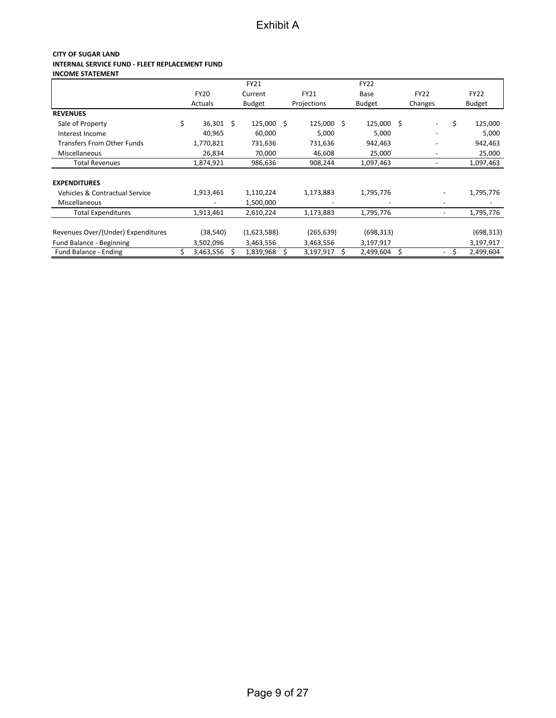#### **CITY OF SUGAR LAND INTERNAL SERVICE FUND - FLEET REPLACEMENT FUND INCOME STATEMENT**

|                                    |                 | <b>FY21</b>   |             |    | <b>FY22</b>   |                              |                 |
|------------------------------------|-----------------|---------------|-------------|----|---------------|------------------------------|-----------------|
|                                    | <b>FY20</b>     | Current       | <b>FY21</b> |    | Base          | <b>FY22</b>                  | <b>FY22</b>     |
|                                    | Actuals         | <b>Budget</b> | Projections |    | <b>Budget</b> | Changes                      | <b>Budget</b>   |
| <b>REVENUES</b>                    |                 |               |             |    |               |                              |                 |
| Sale of Property                   | \$<br>36,301 \$ | 125,000 \$    | 125,000     | Ŝ. | 125,000 \$    | $\qquad \qquad \blacksquare$ | \$<br>125,000   |
| Interest Income                    | 40,965          | 60,000        | 5,000       |    | 5,000         | $\overline{\phantom{a}}$     | 5,000           |
| <b>Transfers From Other Funds</b>  | 1,770,821       | 731,636       | 731,636     |    | 942,463       |                              | 942,463         |
| Miscellaneous                      | 26,834          | 70,000        | 46,608      |    | 25,000        | $\overline{\phantom{a}}$     | 25,000          |
| <b>Total Revenues</b>              | 1,874,921       | 986,636       | 908,244     |    | 1,097,463     | $\overline{\phantom{a}}$     | 1,097,463       |
| <b>EXPENDITURES</b>                |                 |               |             |    |               |                              |                 |
| Vehicles & Contractual Service     | 1,913,461       | 1,110,224     | 1,173,883   |    | 1,795,776     |                              | 1,795,776       |
| <b>Miscellaneous</b>               |                 | 1,500,000     |             |    |               |                              |                 |
| <b>Total Expenditures</b>          | 1,913,461       | 2,610,224     | 1,173,883   |    | 1,795,776     |                              | 1,795,776       |
| Revenues Over/(Under) Expenditures | (38, 540)       | (1,623,588)   | (265, 639)  |    | (698, 313)    |                              | (698, 313)      |
| Fund Balance - Beginning           | 3,502,096       | 3,463,556     | 3,463,556   |    | 3,197,917     |                              | 3,197,917       |
| Fund Balance - Ending              | 3,463,556       | 1,839,968     | 3,197,917   | S  | 2,499,604     | \$                           | \$<br>2,499,604 |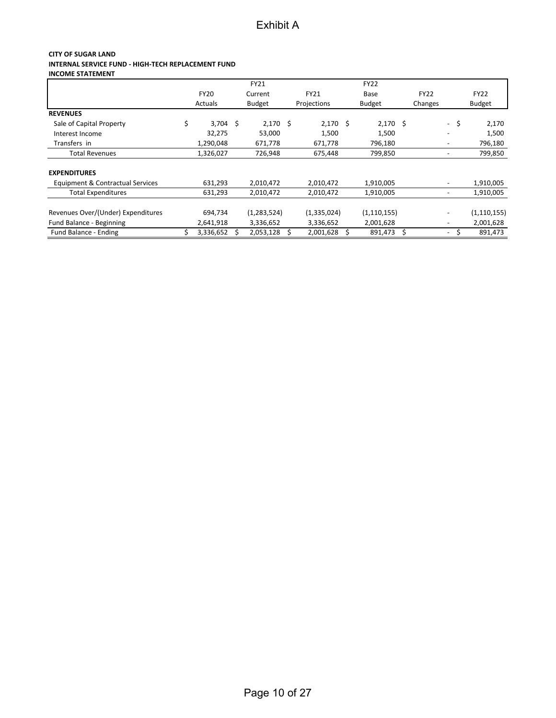### **CITY OF SUGAR LAND INTERNAL SERVICE FUND - HIGH-TECH REPLACEMENT FUND**

**INCOME STATEMENT**

|                                    |                  | <b>FY21</b>   |             | <b>FY22</b>   |             |                          |      |               |
|------------------------------------|------------------|---------------|-------------|---------------|-------------|--------------------------|------|---------------|
|                                    | <b>FY20</b>      | Current       | <b>FY21</b> | Base          | <b>FY22</b> |                          |      | <b>FY22</b>   |
|                                    | Actuals          | <b>Budget</b> | Projections | <b>Budget</b> | Changes     |                          |      | <b>Budget</b> |
| <b>REVENUES</b>                    |                  |               |             |               |             |                          |      |               |
| Sale of Capital Property           | \$<br>$3,704$ \$ | $2,170$ \$    | $2,170$ \$  | $2,170$ \$    |             |                          | - \$ | 2,170         |
| Interest Income                    | 32,275           | 53,000        | 1,500       | 1,500         |             |                          |      | 1,500         |
| Transfers in                       | 1,290,048        | 671,778       | 671,778     | 796,180       |             | $\overline{\phantom{a}}$ |      | 796,180       |
| <b>Total Revenues</b>              | 1,326,027        | 726,948       | 675,448     | 799,850       |             |                          |      | 799,850       |
| <b>EXPENDITURES</b>                |                  |               |             |               |             |                          |      |               |
| Equipment & Contractual Services   | 631,293          | 2,010,472     | 2,010,472   | 1,910,005     |             | $\overline{\phantom{0}}$ |      | 1,910,005     |
| <b>Total Expenditures</b>          | 631,293          | 2,010,472     | 2,010,472   | 1,910,005     |             |                          |      | 1,910,005     |
| Revenues Over/(Under) Expenditures | 694,734          | (1, 283, 524) | (1,335,024) | (1, 110, 155) |             |                          |      | (1, 110, 155) |
| Fund Balance - Beginning           | 2,641,918        | 3,336,652     | 3,336,652   | 2,001,628     |             | $\overline{\phantom{a}}$ |      | 2,001,628     |
| Fund Balance - Ending              | \$<br>3,336,652  | 2,053,128     | 2,001,628   | 891,473       | \$          | $\overline{\phantom{a}}$ |      | 891,473       |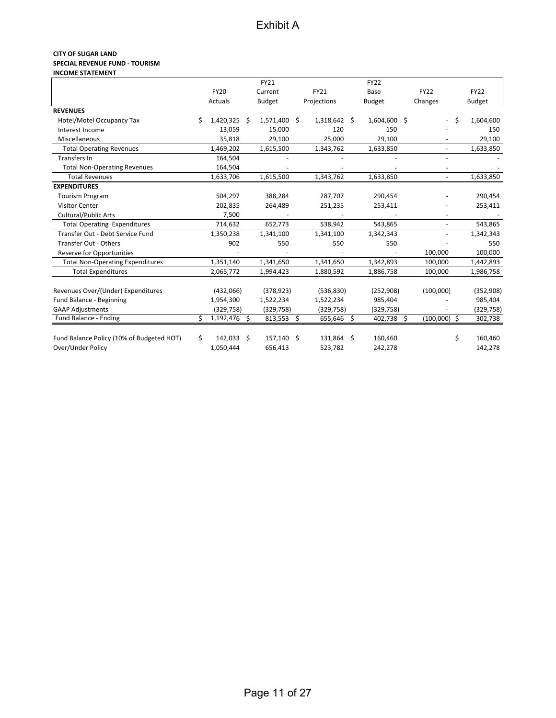#### **CITY OF SUGAR LAND SPECIAL REVENUE FUND ‐ TOURISM INCOME STATEMENT**

|                                           |    |                | FY21          |              | <b>FY22</b>   |     |                |    |               |
|-------------------------------------------|----|----------------|---------------|--------------|---------------|-----|----------------|----|---------------|
|                                           |    | <b>FY20</b>    | Current       | <b>FY21</b>  | Base          |     | <b>FY22</b>    |    | <b>FY22</b>   |
|                                           |    |                |               |              |               |     |                |    |               |
|                                           |    | Actuals        | <b>Budget</b> | Projections  | <b>Budget</b> |     | Changes        |    | <b>Budget</b> |
| <b>REVENUES</b>                           |    |                |               |              |               |     |                |    |               |
| Hotel/Motel Occupancy Tax                 | Ś  | $1,420,325$ \$ | 1,571,400 \$  | 1,318,642 \$ | 1,604,600     | \$. | $\blacksquare$ | Ś. | 1,604,600     |
| Interest Income                           |    | 13,059         | 15,000        | 120          | 150           |     |                |    | 150           |
| Miscellaneous                             |    | 35,818         | 29,100        | 25,000       | 29,100        |     |                |    | 29,100        |
| <b>Total Operating Revenues</b>           |    | 1,469,202      | 1,615,500     | 1,343,762    | 1,633,850     |     | $\blacksquare$ |    | 1,633,850     |
| <b>Transfers In</b>                       |    | 164,504        |               |              |               |     | $\overline{a}$ |    |               |
| <b>Total Non-Operating Revenues</b>       |    | 164,504        |               |              |               |     |                |    |               |
| <b>Total Revenues</b>                     |    | 1,633,706      | 1,615,500     | 1,343,762    | 1,633,850     |     | $\blacksquare$ |    | 1,633,850     |
| <b>EXPENDITURES</b>                       |    |                |               |              |               |     |                |    |               |
| <b>Tourism Program</b>                    |    | 504,297        | 388,284       | 287,707      | 290,454       |     |                |    | 290,454       |
| <b>Visitor Center</b>                     |    | 202,835        | 264,489       | 251,235      | 253,411       |     |                |    | 253,411       |
| Cultural/Public Arts                      |    | 7,500          |               |              |               |     |                |    |               |
| <b>Total Operating Expenditures</b>       |    | 714,632        | 652,773       | 538,942      | 543,865       |     |                |    | 543,865       |
| Transfer Out - Debt Service Fund          |    | 1,350,238      | 1,341,100     | 1,341,100    | 1,342,343     |     |                |    | 1,342,343     |
| Transfer Out - Others                     |    | 902            | 550           | 550          | 550           |     |                |    | 550           |
| <b>Reserve for Opportunities</b>          |    |                |               |              |               |     | 100,000        |    | 100,000       |
| <b>Total Non-Operating Expenditures</b>   |    | 1,351,140      | 1,341,650     | 1,341,650    | 1,342,893     |     | 100,000        |    | 1,442,893     |
| <b>Total Expenditures</b>                 |    | 2,065,772      | 1,994,423     | 1,880,592    | 1,886,758     |     | 100,000        |    | 1,986,758     |
|                                           |    |                |               |              |               |     |                |    |               |
| Revenues Over/(Under) Expenditures        |    | (432,066)      | (378, 923)    | (536, 830)   | (252,908)     |     | (100,000)      |    | (352,908)     |
| Fund Balance - Beginning                  |    | 1,954,300      | 1,522,234     | 1,522,234    | 985,404       |     |                |    | 985,404       |
| <b>GAAP Adjustments</b>                   |    | (329, 758)     | (329, 758)    | (329, 758)   | (329, 758)    |     |                |    | (329, 758)    |
| Fund Balance - Ending                     | Ś. | 1,192,476 \$   | 813,553 \$    | 655,646 \$   | 402,738       | \$. | $(100,000)$ \$ |    | 302,738       |
|                                           |    |                |               |              |               |     |                |    |               |
| Fund Balance Policy (10% of Budgeted HOT) | \$ | 142,033 \$     | 157,140 \$    | 131,864 \$   | 160,460       |     |                | \$ | 160,460       |
| Over/Under Policy                         |    | 1,050,444      | 656,413       | 523,782      | 242,278       |     |                |    | 142,278       |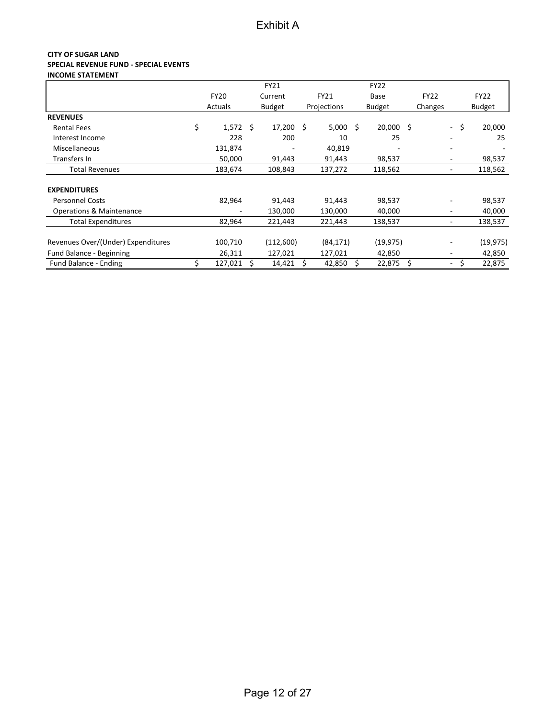#### **CITY OF SUGAR LAND SPECIAL REVENUE FUND - SPECIAL EVENTS INCOME STATEMENT**

|                                     |               |    | FY21           |             |    | <b>FY22</b>   |     |             |                          |               |
|-------------------------------------|---------------|----|----------------|-------------|----|---------------|-----|-------------|--------------------------|---------------|
|                                     | <b>FY20</b>   |    | Current        | <b>FY21</b> |    | Base          |     | <b>FY22</b> |                          | <b>FY22</b>   |
|                                     | Actuals       |    | <b>Budget</b>  | Projections |    | <b>Budget</b> |     | Changes     |                          | <b>Budget</b> |
| <b>REVENUES</b>                     |               |    |                |             |    |               |     |             |                          |               |
| <b>Rental Fees</b>                  | \$<br>1,572   | Ś. | $17,200 \pm 5$ | 5,000       | Ŝ. | 20,000 \$     |     |             | $\blacksquare$           | \$<br>20,000  |
| Interest Income                     | 228           |    | 200            | 10          |    | 25            |     |             |                          | 25            |
| Miscellaneous                       | 131,874       |    |                | 40,819      |    |               |     |             |                          |               |
| Transfers In                        | 50,000        |    | 91,443         | 91,443      |    | 98,537        |     |             | ۰                        | 98,537        |
| <b>Total Revenues</b>               | 183,674       |    | 108,843        | 137,272     |    | 118,562       |     |             | ۰                        | 118,562       |
|                                     |               |    |                |             |    |               |     |             |                          |               |
| <b>EXPENDITURES</b>                 |               |    |                |             |    |               |     |             |                          |               |
| <b>Personnel Costs</b>              | 82,964        |    | 91,443         | 91,443      |    | 98,537        |     |             |                          | 98,537        |
| <b>Operations &amp; Maintenance</b> | ۰             |    | 130,000        | 130,000     |    | 40,000        |     |             | ۰                        | 40,000        |
| <b>Total Expenditures</b>           | 82,964        |    | 221,443        | 221,443     |    | 138,537       |     |             | ۰                        | 138,537       |
| Revenues Over/(Under) Expenditures  | 100,710       |    | (112,600)      | (84, 171)   |    | (19, 975)     |     |             |                          | (19, 975)     |
| Fund Balance - Beginning            | 26,311        |    | 127,021        | 127,021     |    | 42,850        |     |             | ۰.                       | 42,850        |
| Fund Balance - Ending               | \$<br>127,021 |    | 14,421         | 42,850      |    | 22,875        | \$. |             | $\overline{\phantom{a}}$ | 22,875        |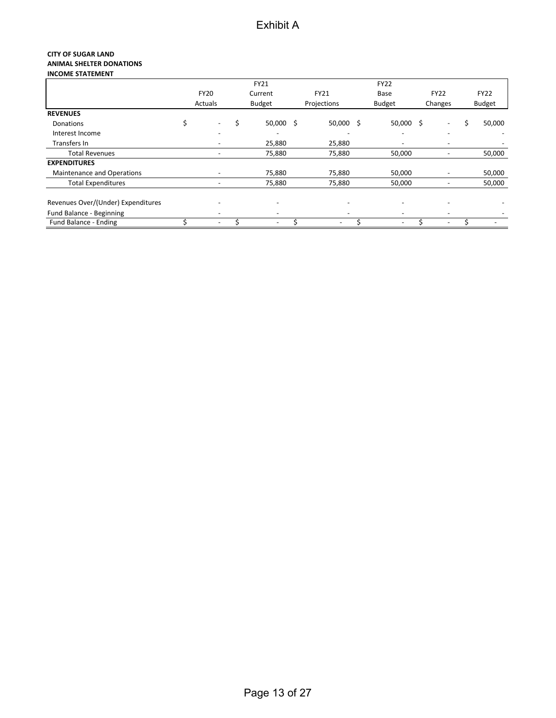#### **CITY OF SUGAR LAND ANIMAL SHELTER DONATIONS INCOME STATEMENT**

|                                    |                                | <b>FY21</b>              |                          | <b>FY22</b>              |                              |               |
|------------------------------------|--------------------------------|--------------------------|--------------------------|--------------------------|------------------------------|---------------|
|                                    | <b>FY20</b>                    | Current                  | <b>FY21</b>              | Base                     | <b>FY22</b>                  | <b>FY22</b>   |
|                                    | Actuals                        | <b>Budget</b>            | Projections              | <b>Budget</b>            | Changes                      | <b>Budget</b> |
| <b>REVENUES</b>                    |                                |                          |                          |                          |                              |               |
| <b>Donations</b>                   | \$<br>$\overline{\phantom{a}}$ | \$<br>50,000             | \$<br>$50,000$ \$        | $50,000$ \$              |                              | 50,000        |
| Interest Income                    | $\overline{\phantom{0}}$       | $\overline{a}$           | $\overline{\phantom{0}}$ | $\overline{\phantom{a}}$ | $\overline{\phantom{0}}$     |               |
| Transfers In                       |                                | 25,880                   | 25,880                   | $\overline{\phantom{a}}$ |                              |               |
| <b>Total Revenues</b>              | $\overline{\phantom{a}}$       | 75,880                   | 75,880                   | 50,000                   |                              | 50,000        |
| <b>EXPENDITURES</b>                |                                |                          |                          |                          |                              |               |
| Maintenance and Operations         |                                | 75,880                   | 75,880                   | 50,000                   | $\qquad \qquad \blacksquare$ | 50,000        |
| <b>Total Expenditures</b>          | $\overline{\phantom{a}}$       | 75,880                   | 75,880                   | 50,000                   |                              | 50,000        |
| Revenues Over/(Under) Expenditures |                                | $\overline{\phantom{0}}$ | $\overline{\phantom{0}}$ | $\overline{\phantom{0}}$ |                              |               |
| Fund Balance - Beginning           | $\overline{\phantom{a}}$       | $\overline{\phantom{a}}$ | $\overline{\phantom{0}}$ | $\overline{\phantom{0}}$ | $\overline{\phantom{0}}$     |               |
| Fund Balance - Ending              |                                | $\overline{\phantom{a}}$ |                          | $\overline{\phantom{a}}$ |                              |               |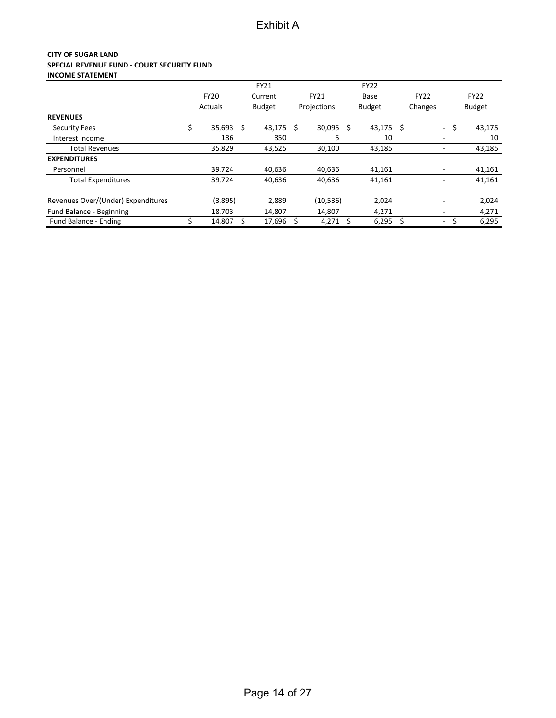#### **CITY OF SUGAR LAND SPECIAL REVENUE FUND - COURT SECURITY FUND INCOME STATEMENT**

|                                    |                |    | <b>FY21</b>   |             |    | <b>FY22</b>   |             |                              |               |
|------------------------------------|----------------|----|---------------|-------------|----|---------------|-------------|------------------------------|---------------|
|                                    | <b>FY20</b>    |    | Current       | <b>FY21</b> |    | Base          | <b>FY22</b> |                              | <b>FY22</b>   |
|                                    | <b>Actuals</b> |    | <b>Budget</b> | Projections |    | <b>Budget</b> | Changes     |                              | <b>Budget</b> |
| <b>REVENUES</b>                    |                |    |               |             |    |               |             |                              |               |
| <b>Security Fees</b>               | \$<br>35,693   | Ś. | $43,175$ \$   | 30,095      | Ś  | $43,175$ \$   |             | ÷.                           | \$<br>43,175  |
| Interest Income                    | 136            |    | 350           | 5           |    | 10            |             |                              | 10            |
| <b>Total Revenues</b>              | 35,829         |    | 43,525        | 30,100      |    | 43,185        |             |                              | 43,185        |
| <b>EXPENDITURES</b>                |                |    |               |             |    |               |             |                              |               |
| Personnel                          | 39.724         |    | 40.636        | 40.636      |    | 41,161        |             |                              | 41,161        |
| <b>Total Expenditures</b>          | 39,724         |    | 40,636        | 40,636      |    | 41,161        |             | $\qquad \qquad \blacksquare$ | 41,161        |
| Revenues Over/(Under) Expenditures | (3,895)        |    | 2,889         | (10, 536)   |    | 2,024         |             |                              | 2,024         |
| Fund Balance - Beginning           | 18,703         |    | 14,807        | 14,807      |    | 4,271         |             | ۰                            | 4,271         |
| Fund Balance - Ending              | 14,807         |    | 17,696        | 4,271       | \$ | 6,295         |             | $\overline{\phantom{0}}$     | 6,295         |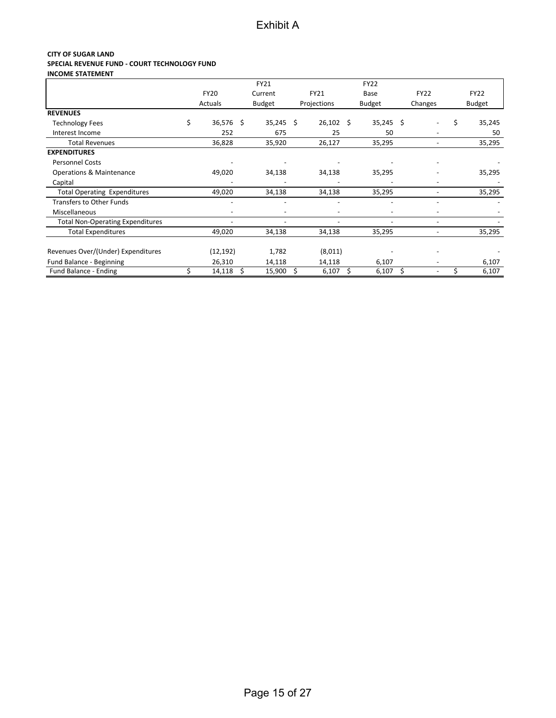#### **CITY OF SUGAR LAND SPECIAL REVENUE FUND - COURT TECHNOLOGY FUND INCOME STATEMENT**

|                                         |                          |    | FY21                     |             |    | <b>FY22</b>              |    |                          |   |               |
|-----------------------------------------|--------------------------|----|--------------------------|-------------|----|--------------------------|----|--------------------------|---|---------------|
|                                         | <b>FY20</b>              |    | Current                  | FY21        |    | Base                     |    | <b>FY22</b>              |   | <b>FY22</b>   |
|                                         | Actuals                  |    | <b>Budget</b>            | Projections |    | <b>Budget</b>            |    | Changes                  |   | <b>Budget</b> |
| <b>REVENUES</b>                         |                          |    |                          |             |    |                          |    |                          |   |               |
| <b>Technology Fees</b>                  | \$<br>36,576 \$          |    | $35,245$ \$              | 26,102      | Ŝ. | $35,245$ \$              |    |                          | Ś | 35,245        |
| Interest Income                         | 252                      |    | 675                      | 25          |    | 50                       |    |                          |   | 50            |
| <b>Total Revenues</b>                   | 36,828                   |    | 35,920                   | 26,127      |    | 35,295                   |    |                          |   | 35,295        |
| <b>EXPENDITURES</b>                     |                          |    |                          |             |    |                          |    |                          |   |               |
| <b>Personnel Costs</b>                  |                          |    |                          |             |    |                          |    |                          |   |               |
| Operations & Maintenance                | 49,020                   |    | 34,138                   | 34,138      |    | 35,295                   |    |                          |   | 35,295        |
| Capital                                 |                          |    |                          |             |    |                          |    |                          |   |               |
| <b>Total Operating Expenditures</b>     | 49,020                   |    | 34,138                   | 34,138      |    | 35,295                   |    |                          |   | 35,295        |
| <b>Transfers to Other Funds</b>         | $\overline{\phantom{a}}$ |    |                          |             |    |                          |    |                          |   |               |
| Miscellaneous                           | $\overline{\phantom{0}}$ |    | $\overline{\phantom{0}}$ |             |    | $\overline{\phantom{a}}$ |    |                          |   |               |
| <b>Total Non-Operating Expenditures</b> | $\overline{\phantom{a}}$ |    |                          |             |    | $\overline{a}$           |    | ٠                        |   |               |
| <b>Total Expenditures</b>               | 49,020                   |    | 34,138                   | 34,138      |    | 35,295                   |    | $\overline{\phantom{0}}$ |   | 35,295        |
| Revenues Over/(Under) Expenditures      | (12, 192)                |    | 1,782                    | (8,011)     |    |                          |    |                          |   |               |
| Fund Balance - Beginning                | 26,310                   |    | 14,118                   | 14,118      |    | 6,107                    |    |                          |   | 6,107         |
| Fund Balance - Ending                   | 14,118                   | Ś. | 15,900                   | \$<br>6,107 | \$ | 6,107                    | Ś. |                          |   | 6,107         |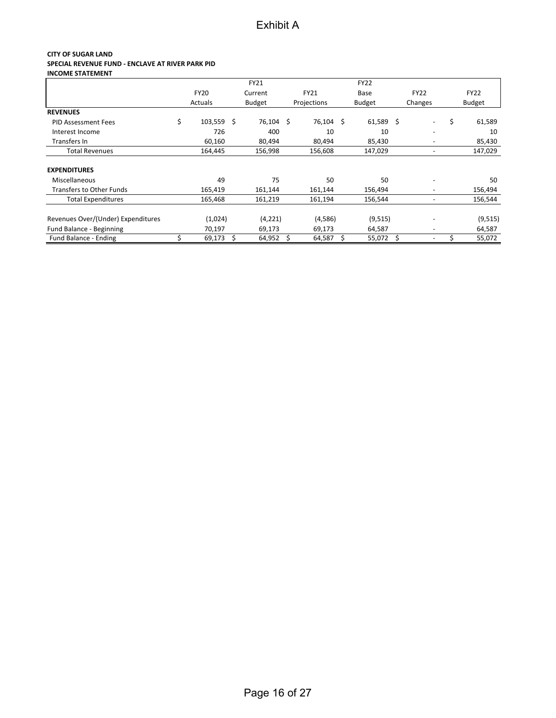#### **CITY OF SUGAR LAND SPECIAL REVENUE FUND - ENCLAVE AT RIVER PARK PID INCOME STATEMENT**

|                                    |                  | <b>FY21</b>   |              | <b>FY22</b>   |    |                          |               |
|------------------------------------|------------------|---------------|--------------|---------------|----|--------------------------|---------------|
|                                    | <b>FY20</b>      | Current       | <b>FY21</b>  | Base          |    | <b>FY22</b>              | <b>FY22</b>   |
|                                    | Actuals          | <b>Budget</b> | Projections  | <b>Budget</b> |    | Changes                  | <b>Budget</b> |
| <b>REVENUES</b>                    |                  |               |              |               |    |                          |               |
| <b>PID Assessment Fees</b>         | \$<br>103,559 \$ | 76,104 \$     | 76,104 \$    | 61,589        | Ŝ. | $\overline{\phantom{a}}$ | \$<br>61,589  |
| Interest Income                    | 726              | 400           | 10           | 10            |    | $\overline{\phantom{a}}$ | 10            |
| Transfers In                       | 60,160           | 80,494        | 80,494       | 85,430        |    | -                        | 85,430        |
| <b>Total Revenues</b>              | 164,445          | 156,998       | 156,608      | 147,029       |    | -                        | 147,029       |
| <b>EXPENDITURES</b>                |                  |               |              |               |    |                          |               |
| Miscellaneous                      | 49               | 75            | 50           | 50            |    | $\overline{\phantom{a}}$ | 50            |
| <b>Transfers to Other Funds</b>    | 165,419          | 161,144       | 161,144      | 156,494       |    | -                        | 156,494       |
| <b>Total Expenditures</b>          | 165,468          | 161,219       | 161,194      | 156,544       |    | -                        | 156,544       |
| Revenues Over/(Under) Expenditures | (1,024)          | (4, 221)      | (4,586)      | (9, 515)      |    | $\overline{\phantom{a}}$ | (9, 515)      |
| Fund Balance - Beginning           | 70,197           | 69,173        | 69,173       | 64,587        |    | -                        | 64,587        |
| Fund Balance - Ending              | 69,173           | 64,952        | \$<br>64,587 | \$<br>55,072  | \$ | -                        | 55,072        |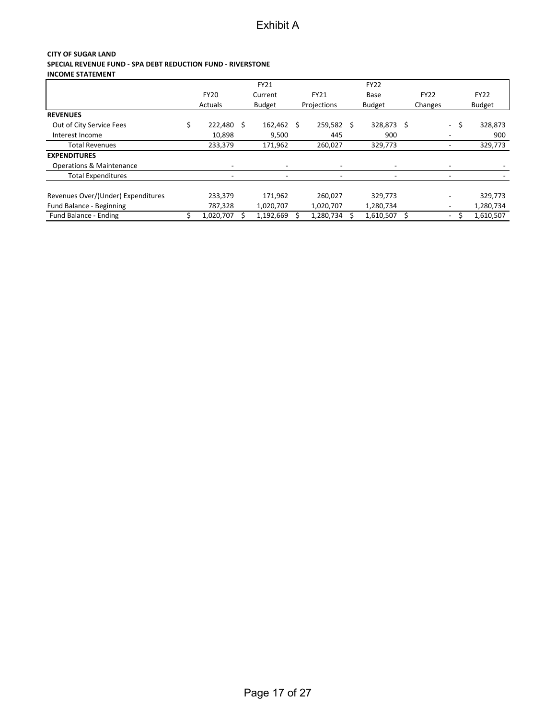#### **CITY OF SUGAR LAND SPECIAL REVENUE FUND - SPA DEBT REDUCTION FUND - RIVERSTONE INCOME STATEMENT**

|                                     |             | FY21          |    |                          |    | <b>FY22</b>   |             |           |    |               |
|-------------------------------------|-------------|---------------|----|--------------------------|----|---------------|-------------|-----------|----|---------------|
|                                     | <b>FY20</b> | Current       |    | <b>FY21</b>              |    | Base          | <b>FY22</b> |           |    | <b>FY22</b>   |
|                                     | Actuals     | <b>Budget</b> |    | Projections              |    | <b>Budget</b> | Changes     |           |    | <b>Budget</b> |
| <b>REVENUES</b>                     |             |               |    |                          |    |               |             |           |    |               |
| Out of City Service Fees            | 222,480 \$  | 162,462       | -S | 259,582                  | Ŝ. | 328,873 \$    |             | $\sim 10$ | -S | 328,873       |
| Interest Income                     | 10,898      | 9,500         |    | 445                      |    | 900           |             |           |    | 900           |
| <b>Total Revenues</b>               | 233,379     | 171,962       |    | 260,027                  |    | 329,773       |             |           |    | 329,773       |
| <b>EXPENDITURES</b>                 |             |               |    |                          |    |               |             |           |    |               |
| <b>Operations &amp; Maintenance</b> |             |               |    | $\overline{\phantom{a}}$ |    |               |             |           |    |               |
| <b>Total Expenditures</b>           |             |               |    |                          |    |               |             |           |    |               |
| Revenues Over/(Under) Expenditures  | 233,379     | 171.962       |    | 260,027                  |    | 329,773       |             |           |    | 329,773       |
| Fund Balance - Beginning            | 787,328     | 1,020,707     |    | 1,020,707                |    | 1,280,734     |             |           |    | 1,280,734     |
| Fund Balance - Ending               | 1,020,707   | 1,192,669     |    | 1,280,734                |    | 1,610,507     |             | Ξ.        |    | 1,610,507     |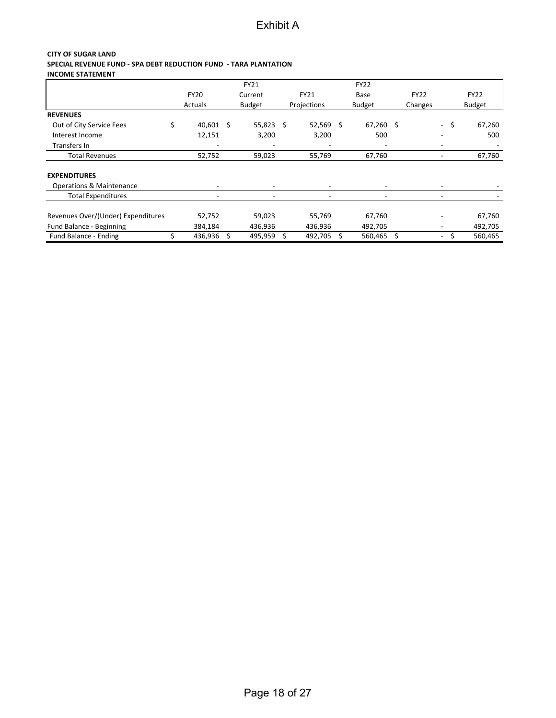#### **CITY OF SUGAR LAND SPECIAL REVENUE FUND - SPA DEBT REDUCTION FUND - TARA PLANTATION INCOME STATEMENT**

|                                     |                          | FY21          |                          | <b>FY22</b> |   |             |                          |      |               |
|-------------------------------------|--------------------------|---------------|--------------------------|-------------|---|-------------|--------------------------|------|---------------|
|                                     | <b>FY20</b>              | Current       | <b>FY21</b>              | Base        |   | <b>FY22</b> |                          |      | <b>FY22</b>   |
|                                     | Actuals                  | <b>Budget</b> | Projections              | Budget      |   | Changes     |                          |      | <b>Budget</b> |
| <b>REVENUES</b>                     |                          |               |                          |             |   |             |                          |      |               |
| Out of City Service Fees            | \$<br>$40,601 \quad $$   | $55,823$ \$   | $52,569$ \$              | $67,260$ \$ |   |             |                          | - \$ | 67,260        |
| Interest Income                     | 12,151                   | 3,200         | 3,200                    | 500         |   |             | $\overline{\phantom{a}}$ |      | 500           |
| Transfers In                        |                          |               |                          |             |   |             |                          |      |               |
| <b>Total Revenues</b>               | 52,752                   | 59,023        | 55,769                   | 67,760      |   |             |                          |      | 67,760        |
| <b>EXPENDITURES</b>                 |                          |               |                          |             |   |             |                          |      |               |
| <b>Operations &amp; Maintenance</b> |                          |               | $\blacksquare$           | ٠           |   |             |                          |      |               |
| <b>Total Expenditures</b>           | $\overline{\phantom{a}}$ | ٠             | $\overline{\phantom{a}}$ | ٠           |   |             | $\overline{\phantom{a}}$ |      |               |
| Revenues Over/(Under) Expenditures  | 52,752                   | 59,023        | 55,769                   | 67,760      |   |             |                          |      | 67,760        |
| Fund Balance - Beginning            | 384,184                  | 436,936       | 436,936                  | 492,705     |   |             |                          |      | 492,705       |
| Fund Balance - Ending               | 436,936                  | 495,959       | 492,705                  | 560,465     | Ś |             | $\overline{\phantom{a}}$ |      | 560,465       |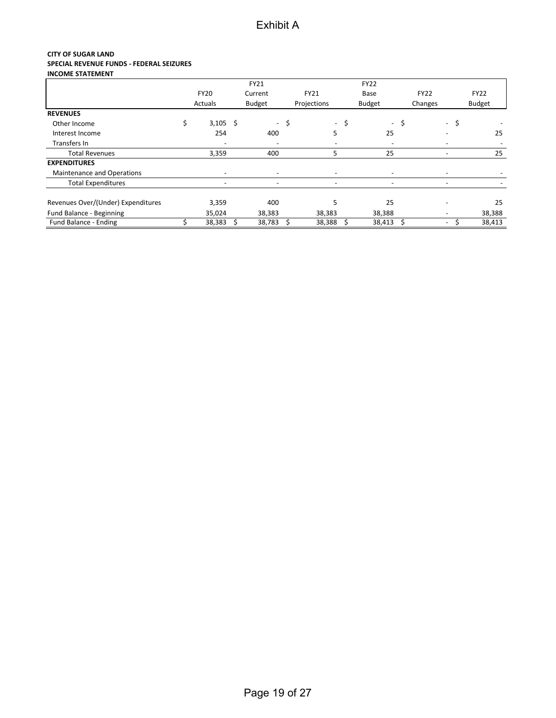#### **CITY OF SUGAR LAND SPECIAL REVENUE FUNDS - FEDERAL SEIZURES INCOME STATEMENT**

|                                    |                          |    | FY21                     |                                |     | <b>FY22</b>              |      |             |                          |               |
|------------------------------------|--------------------------|----|--------------------------|--------------------------------|-----|--------------------------|------|-------------|--------------------------|---------------|
|                                    | <b>FY20</b>              |    | Current                  | <b>FY21</b>                    |     | Base                     |      | <b>FY22</b> |                          | <b>FY22</b>   |
|                                    | Actuals                  |    | <b>Budget</b>            | Projections                    |     | <b>Budget</b>            |      | Changes     |                          | <b>Budget</b> |
| <b>REVENUES</b>                    |                          |    |                          |                                |     |                          |      |             |                          |               |
| Other Income                       | \$<br>$3,105$ \$         |    | $\overline{\phantom{0}}$ | \$<br>$\overline{\phantom{a}}$ | -\$ | $\overline{\phantom{0}}$ | \$   |             | -\$<br>$\sim$            |               |
| Interest Income                    | 254                      |    | 400                      | 5                              |     | 25                       |      |             |                          | 25            |
| Transfers In                       |                          |    |                          |                                |     |                          |      |             |                          |               |
| <b>Total Revenues</b>              | 3,359                    |    | 400                      | 5                              |     | 25                       |      |             | $\overline{\phantom{a}}$ | 25            |
| <b>EXPENDITURES</b>                |                          |    |                          |                                |     |                          |      |             |                          |               |
| Maintenance and Operations         | $\overline{\phantom{0}}$ |    | $\overline{\phantom{a}}$ | $\overline{\phantom{a}}$       |     |                          |      |             | $\overline{\phantom{a}}$ |               |
| <b>Total Expenditures</b>          | $\qquad \qquad$          |    | $\overline{\phantom{0}}$ | $\overline{\phantom{a}}$       |     |                          |      |             |                          |               |
| Revenues Over/(Under) Expenditures | 3,359                    |    | 400                      | 5                              |     | 25                       |      |             |                          | 25            |
| Fund Balance - Beginning           | 35,024                   |    | 38,383                   | 38,383                         |     | 38,388                   |      |             | $\overline{\phantom{a}}$ | 38,388        |
| Fund Balance - Ending              | 38,383                   | Ŝ. | 38,783                   | 38,388                         | -\$ | 38,413                   | - \$ |             | $\overline{\phantom{0}}$ | 38,413        |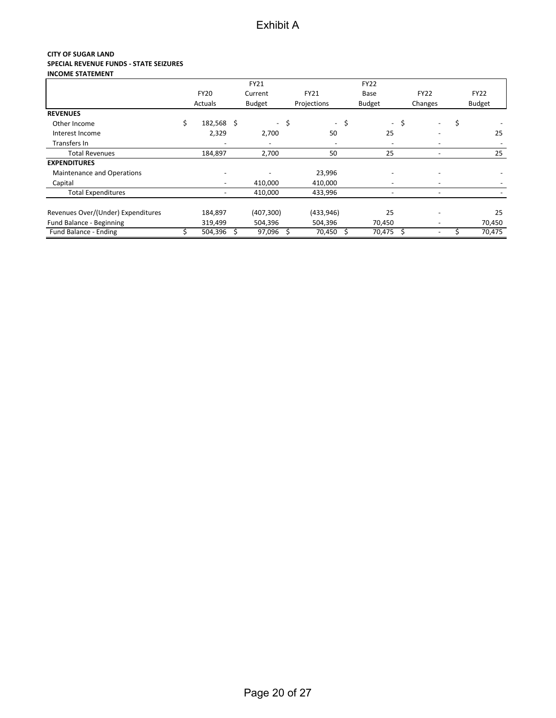#### **CITY OF SUGAR LAND SPECIAL REVENUE FUNDS - STATE SEIZURES INCOME STATEMENT**

|                                    |                          | FY21                     |      |                          |      | <b>FY22</b>              |      |                          |               |
|------------------------------------|--------------------------|--------------------------|------|--------------------------|------|--------------------------|------|--------------------------|---------------|
|                                    | <b>FY20</b>              | Current                  |      | <b>FY21</b>              |      | Base                     |      | <b>FY22</b>              | <b>FY22</b>   |
|                                    | Actuals                  | <b>Budget</b>            |      | Projections              |      | <b>Budget</b>            |      | Changes                  | <b>Budget</b> |
| <b>REVENUES</b>                    |                          |                          |      |                          |      |                          |      |                          |               |
| Other Income                       | \$<br>182,568 \$         |                          | - \$ |                          | - \$ |                          | - \$ | $\overline{\phantom{a}}$ | \$            |
| Interest Income                    | 2,329                    | 2,700                    |      | 50                       |      | 25                       |      | $\overline{\phantom{a}}$ | 25            |
| Transfers In                       |                          | $\overline{\phantom{a}}$ |      | $\overline{\phantom{0}}$ |      | $\overline{\phantom{0}}$ |      |                          |               |
| <b>Total Revenues</b>              | 184,897                  | 2,700                    |      | 50                       |      | 25                       |      |                          | 25            |
| <b>EXPENDITURES</b>                |                          |                          |      |                          |      |                          |      |                          |               |
| Maintenance and Operations         |                          |                          |      | 23,996                   |      |                          |      |                          |               |
| Capital                            | $\overline{\phantom{a}}$ | 410,000                  |      | 410,000                  |      | $\overline{\phantom{a}}$ |      |                          |               |
| <b>Total Expenditures</b>          |                          | 410,000                  |      | 433,996                  |      | $\overline{\phantom{a}}$ |      |                          |               |
| Revenues Over/(Under) Expenditures | 184,897                  | (407, 300)               |      | (433, 946)               |      | 25                       |      |                          | 25            |
| Fund Balance - Beginning           | 319,499                  | 504,396                  |      | 504,396                  |      | 70,450                   |      |                          | 70,450        |
| Fund Balance - Ending              | 504,396                  | 97,096                   |      | 70,450                   |      | 70,475                   | \$   |                          | 70,475        |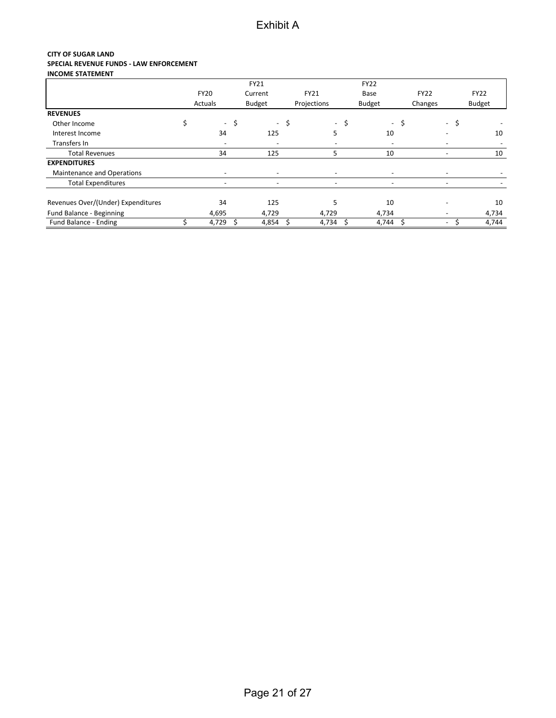#### **CITY OF SUGAR LAND SPECIAL REVENUE FUNDS - LAW ENFORCEMENT INCOME STATEMENT**

|                                    |                          |     | FY21                     |                          |     | <b>FY22</b>              |      |             |                          |               |
|------------------------------------|--------------------------|-----|--------------------------|--------------------------|-----|--------------------------|------|-------------|--------------------------|---------------|
|                                    | <b>FY20</b>              |     | Current                  | <b>FY21</b>              |     | Base                     |      | <b>FY22</b> |                          | <b>FY22</b>   |
|                                    | Actuals                  |     | <b>Budget</b>            | Projections              |     | Budget                   |      | Changes     |                          | <b>Budget</b> |
| <b>REVENUES</b>                    |                          |     |                          |                          |     |                          |      |             |                          |               |
| Other Income                       | \$<br>$\sim$             | \$  | $\overline{\phantom{a}}$ | \$<br>$\sim$             | -\$ | $\sim$                   | \$   |             | -\$<br>$\sim$            |               |
| Interest Income                    | 34                       |     | 125                      | 5                        |     | 10                       |      |             |                          | 10            |
| Transfers In                       | $\overline{\phantom{0}}$ |     | $\overline{\phantom{a}}$ |                          |     | $\overline{\phantom{a}}$ |      |             |                          |               |
| <b>Total Revenues</b>              | 34                       |     | 125                      | 5                        |     | 10                       |      |             | $\overline{\phantom{a}}$ | 10            |
| <b>EXPENDITURES</b>                |                          |     |                          |                          |     |                          |      |             |                          |               |
| Maintenance and Operations         | $\overline{\phantom{0}}$ |     | $\overline{\phantom{a}}$ | $\overline{\phantom{a}}$ |     |                          |      |             | $\overline{\phantom{a}}$ |               |
| <b>Total Expenditures</b>          |                          |     |                          | $\overline{\phantom{a}}$ |     |                          |      |             |                          |               |
| Revenues Over/(Under) Expenditures | 34                       |     | 125                      | 5                        |     | 10                       |      |             |                          | 10            |
| Fund Balance - Beginning           | 4,695                    |     | 4,729                    | 4,729                    |     | 4,734                    |      |             | $\overline{\phantom{a}}$ | 4,734         |
| Fund Balance - Ending              | 4,729                    | -\$ | 4,854                    | 4,734                    | -\$ | 4,744                    | - \$ |             | $\overline{\phantom{a}}$ | 4,744         |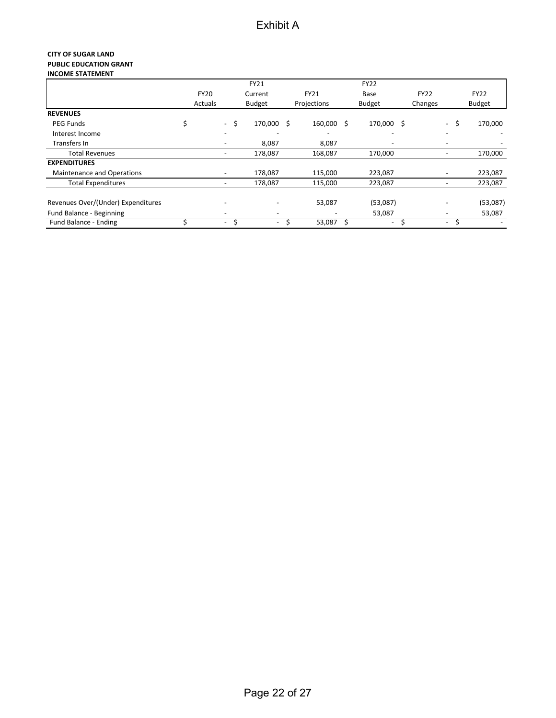#### **CITY OF SUGAR LAND PUBLIC EDUCATION GRANT INCOME STATEMENT**

|                                    |             |                          | <b>FY21</b>              |                  | <b>FY22</b>              |                          |               |
|------------------------------------|-------------|--------------------------|--------------------------|------------------|--------------------------|--------------------------|---------------|
|                                    | <b>FY20</b> |                          | Current                  | <b>FY21</b>      | Base                     | <b>FY22</b>              | <b>FY22</b>   |
|                                    | Actuals     |                          | <b>Budget</b>            | Projections      | <b>Budget</b>            | Changes                  | <b>Budget</b> |
| <b>REVENUES</b>                    |             |                          |                          |                  |                          |                          |               |
| PEG Funds                          | \$          | - \$                     | 170,000                  | 160,000 \$<br>Ŝ. | 170,000 \$               | - \$                     | 170,000       |
| Interest Income                    |             |                          |                          |                  |                          |                          |               |
| Transfers In                       |             |                          | 8,087                    | 8,087            |                          |                          |               |
| <b>Total Revenues</b>              |             |                          | 178,087                  | 168,087          | 170,000                  |                          | 170,000       |
| <b>EXPENDITURES</b>                |             |                          |                          |                  |                          |                          |               |
| Maintenance and Operations         |             |                          | 178,087                  | 115,000          | 223,087                  |                          | 223,087       |
| <b>Total Expenditures</b>          |             | $\overline{\phantom{a}}$ | 178,087                  | 115,000          | 223,087                  | -                        | 223,087       |
| Revenues Over/(Under) Expenditures |             |                          |                          | 53,087           | (53,087)                 |                          | (53,087)      |
| Fund Balance - Beginning           |             | $\overline{\phantom{a}}$ | $\overline{\phantom{a}}$ |                  | 53,087                   | $\overline{\phantom{a}}$ | 53,087        |
| Fund Balance - Ending              |             | $\overline{\phantom{0}}$ | $\overline{\phantom{a}}$ | 53,087           | $\overline{\phantom{a}}$ | $\overline{\phantom{0}}$ |               |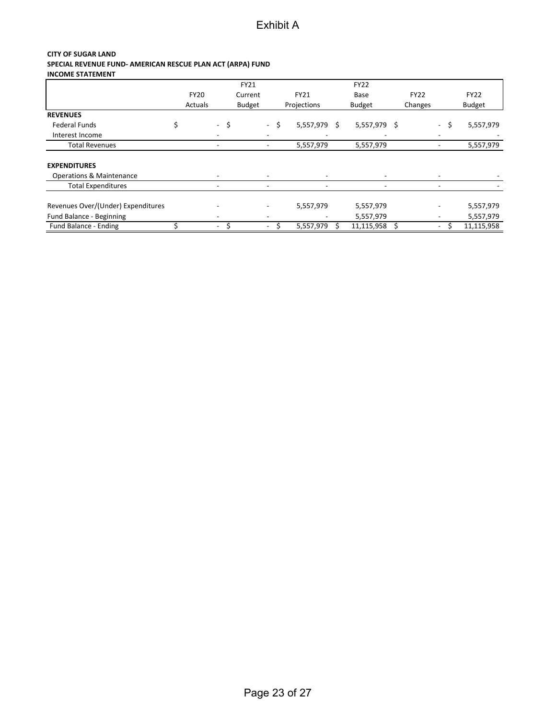#### **CITY OF SUGAR LAND SPECIAL REVENUE FUND- AMERICAN RESCUE PLAN ACT (ARPA) FUND INCOME STATEMENT**

|                                    |             |                          |      | FY21          |                              |      |             |     | <b>FY22</b>              |    |             |                              |      |               |
|------------------------------------|-------------|--------------------------|------|---------------|------------------------------|------|-------------|-----|--------------------------|----|-------------|------------------------------|------|---------------|
|                                    | <b>FY20</b> |                          |      | Current       |                              |      | FY21        |     | Base                     |    | <b>FY22</b> |                              |      | <b>FY22</b>   |
|                                    | Actuals     |                          |      | <b>Budget</b> |                              |      | Projections |     | <b>Budget</b>            |    | Changes     |                              |      | <b>Budget</b> |
| <b>REVENUES</b>                    |             |                          |      |               |                              |      |             |     |                          |    |             |                              |      |               |
| <b>Federal Funds</b>               |             |                          | - \$ |               |                              | - \$ | 5,557,979   | - Ś | 5,557,979                | -S |             |                              | - \$ | 5,557,979     |
| Interest Income                    |             |                          |      |               |                              |      |             |     |                          |    |             |                              |      |               |
| <b>Total Revenues</b>              |             |                          |      |               | $\qquad \qquad \blacksquare$ |      | 5,557,979   |     | 5,557,979                |    |             | $\qquad \qquad \blacksquare$ |      | 5,557,979     |
| <b>EXPENDITURES</b>                |             |                          |      |               |                              |      |             |     |                          |    |             |                              |      |               |
| Operations & Maintenance           |             | $\overline{\phantom{a}}$ |      |               | $\overline{\phantom{0}}$     |      |             |     | $\overline{\phantom{a}}$ |    |             | $\overline{\phantom{0}}$     |      |               |
| <b>Total Expenditures</b>          |             |                          |      |               | ٠                            |      |             |     | $\blacksquare$           |    |             | ٠                            |      |               |
| Revenues Over/(Under) Expenditures |             |                          |      |               |                              |      | 5,557,979   |     | 5,557,979                |    |             | $\overline{\phantom{a}}$     |      | 5,557,979     |
| Fund Balance - Beginning           |             |                          |      |               |                              |      |             |     | 5,557,979                |    |             | $\overline{\phantom{a}}$     |      | 5,557,979     |
| Fund Balance - Ending              |             | $\overline{\phantom{a}}$ |      |               |                              |      | 5,557,979   |     | 11,115,958               |    |             | $\sim$                       |      | 11,115,958    |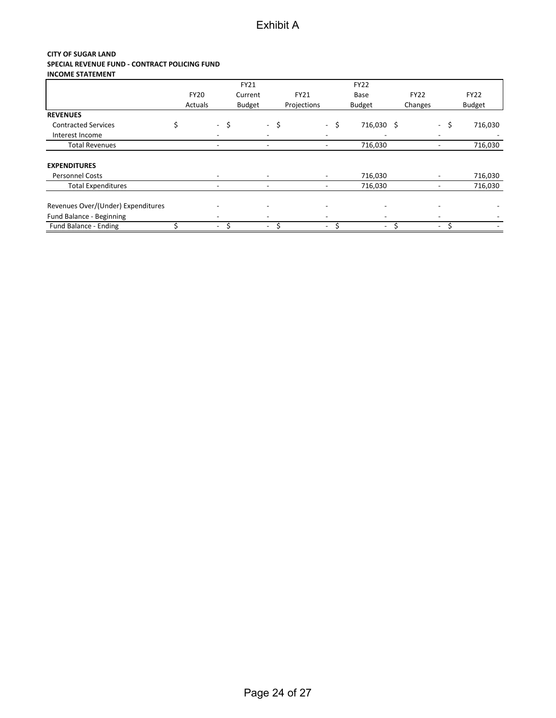#### **CITY OF SUGAR LAND SPECIAL REVENUE FUND - CONTRACT POLICING FUND INCOME STATEMENT**

|                                    |             |                          | FY21          |                          |             |                          | <b>FY22</b>              |             |                              |               |
|------------------------------------|-------------|--------------------------|---------------|--------------------------|-------------|--------------------------|--------------------------|-------------|------------------------------|---------------|
|                                    | <b>FY20</b> |                          | Current       |                          | FY21        |                          | Base                     | <b>FY22</b> |                              | <b>FY22</b>   |
|                                    | Actuals     |                          | <b>Budget</b> |                          | Projections |                          | <b>Budget</b>            | Changes     |                              | <b>Budget</b> |
| <b>REVENUES</b>                    |             |                          |               |                          |             |                          |                          |             |                              |               |
| <b>Contracted Services</b>         |             | - \$                     |               | - \$                     |             | - \$                     | 716,030 \$               |             | \$<br>$\sim$                 | 716,030       |
| Interest Income                    |             |                          |               |                          |             |                          |                          |             |                              |               |
| <b>Total Revenues</b>              |             |                          |               |                          |             |                          | 716,030                  |             |                              | 716,030       |
| <b>EXPENDITURES</b>                |             |                          |               |                          |             |                          |                          |             |                              |               |
| <b>Personnel Costs</b>             |             |                          |               |                          |             |                          | 716,030                  |             |                              | 716,030       |
| <b>Total Expenditures</b>          |             | $\overline{\phantom{a}}$ |               | $\overline{\phantom{a}}$ |             | $\overline{\phantom{a}}$ | 716,030                  |             | $\qquad \qquad \blacksquare$ | 716,030       |
| Revenues Over/(Under) Expenditures |             |                          |               |                          |             |                          | $\overline{\phantom{a}}$ |             |                              |               |
| Fund Balance - Beginning           |             |                          |               |                          |             | -                        | $\overline{\phantom{0}}$ |             |                              |               |
| Fund Balance - Ending              |             | $\overline{\phantom{a}}$ |               | $\overline{\phantom{a}}$ |             | Ś<br>$\sim$              | $\overline{\phantom{0}}$ |             | $\sim$                       |               |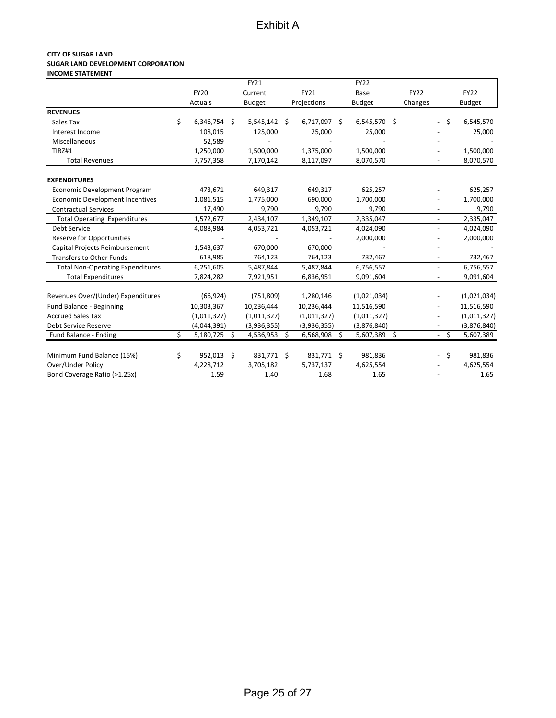#### **CITY OF SUGAR LAND SUGAR LAND DEVELOPMENT CORPORATION INCOME STATEMENT**

|                                                 |                  |     | FY21           |                 | <b>FY22</b>     |             |                          |                 |
|-------------------------------------------------|------------------|-----|----------------|-----------------|-----------------|-------------|--------------------------|-----------------|
|                                                 | <b>FY20</b>      |     | Current        | FY21            | Base            | <b>FY22</b> |                          | <b>FY22</b>     |
|                                                 | Actuals          |     | <b>Budget</b>  | Projections     | <b>Budget</b>   | Changes     |                          | <b>Budget</b>   |
| <b>REVENUES</b>                                 |                  |     |                |                 |                 |             |                          |                 |
| Sales Tax                                       | \$<br>6,346,754  | -\$ | $5,545,142$ \$ | 6,717,097 \$    | $6,545,570$ \$  |             | $\overline{\phantom{a}}$ | \$<br>6,545,570 |
| Interest Income                                 | 108,015          |     | 125,000        | 25,000          | 25,000          |             |                          | 25,000          |
| Miscellaneous                                   | 52,589           |     |                |                 |                 |             |                          |                 |
| TIRZ#1                                          | 1,250,000        |     | 1,500,000      | 1,375,000       | 1,500,000       |             |                          | 1,500,000       |
| <b>Total Revenues</b>                           | 7,757,358        |     | 7,170,142      | 8,117,097       | 8,070,570       |             |                          | 8,070,570       |
| <b>EXPENDITURES</b>                             |                  |     |                |                 |                 |             |                          |                 |
| Economic Development Program                    | 473,671          |     | 649,317        | 649,317         | 625,257         |             |                          | 625,257         |
| <b>Economic Development Incentives</b>          | 1,081,515        |     | 1,775,000      | 690,000         | 1,700,000       |             |                          | 1,700,000       |
| <b>Contractual Services</b>                     | 17,490           |     | 9,790          | 9,790           | 9,790           |             |                          | 9,790           |
| <b>Total Operating Expenditures</b>             | 1,572,677        |     | 2,434,107      | 1,349,107       | 2,335,047       |             |                          | 2,335,047       |
| Debt Service                                    | 4,088,984        |     | 4,053,721      | 4,053,721       | 4,024,090       |             |                          | 4,024,090       |
| <b>Reserve for Opportunities</b>                |                  |     |                |                 | 2,000,000       |             |                          | 2,000,000       |
| Capital Projects Reimbursement                  | 1,543,637        |     | 670,000        | 670,000         |                 |             |                          |                 |
| <b>Transfers to Other Funds</b>                 | 618,985          |     | 764,123        | 764,123         | 732,467         |             |                          | 732,467         |
| <b>Total Non-Operating Expenditures</b>         | 6,251,605        |     | 5,487,844      | 5,487,844       | 6,756,557       |             |                          | 6,756,557       |
| <b>Total Expenditures</b>                       | 7,824,282        |     | 7,921,951      | 6,836,951       | 9,091,604       |             |                          | 9,091,604       |
| Revenues Over/(Under) Expenditures              | (66, 924)        |     | (751, 809)     | 1,280,146       | (1,021,034)     |             |                          | (1,021,034)     |
| Fund Balance - Beginning                        | 10,303,367       |     | 10,236,444     | 10,236,444      | 11,516,590      |             |                          | 11,516,590      |
| <b>Accrued Sales Tax</b>                        | (1,011,327)      |     | (1,011,327)    | (1,011,327)     | (1,011,327)     |             |                          | (1,011,327)     |
| Debt Service Reserve                            | (4,044,391)      |     | (3,936,355)    | (3,936,355)     | (3,876,840)     |             |                          | (3,876,840)     |
| Fund Balance - Ending                           | \$<br>5,180,725  | \$  | 4,536,953      | \$<br>6,568,908 | \$<br>5,607,389 | \$          |                          | \$<br>5,607,389 |
|                                                 |                  |     |                |                 |                 |             |                          |                 |
| Minimum Fund Balance (15%)<br>Over/Under Policy | \$<br>952,013 \$ |     | 831,771 \$     | 831,771 \$      | 981,836         |             | $\overline{\phantom{0}}$ | \$<br>981,836   |
|                                                 | 4,228,712        |     | 3,705,182      | 5,737,137       | 4,625,554       |             |                          | 4,625,554       |
| Bond Coverage Ratio (>1.25x)                    | 1.59             |     | 1.40           | 1.68            | 1.65            |             |                          | 1.65            |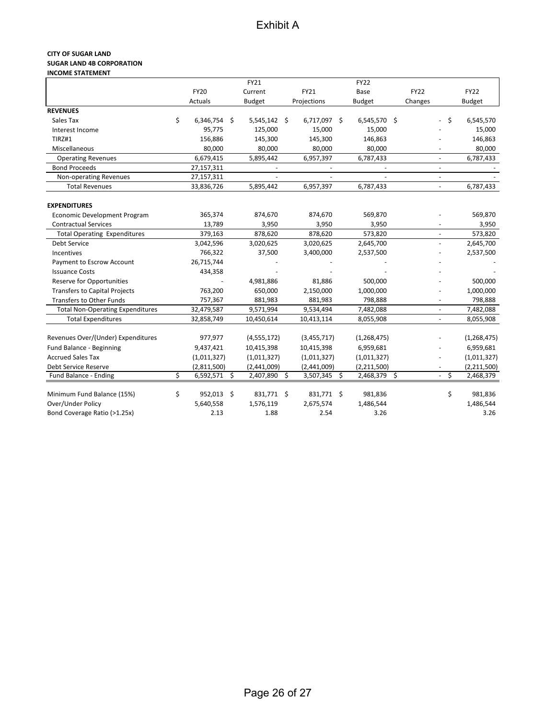#### **CITY OF SUGAR LAND SUGAR LAND 4B CORPORATION INCOME STATEMENT**

|                                         |                      | FY21           |              | <b>FY22</b>        |             |                          |               |
|-----------------------------------------|----------------------|----------------|--------------|--------------------|-------------|--------------------------|---------------|
|                                         | <b>FY20</b>          | Current        | FY21         | Base               | <b>FY22</b> |                          | <b>FY22</b>   |
|                                         | Actuals              | <b>Budget</b>  | Projections  | <b>Budget</b>      | Changes     |                          | <b>Budget</b> |
| <b>REVENUES</b>                         |                      |                |              |                    |             |                          |               |
| Sales Tax                               | \$<br>$6,346,754$ \$ | $5,545,142$ \$ | 6,717,097 \$ | 6,545,570 \$       |             | - \$                     | 6,545,570     |
| Interest Income                         | 95,775               | 125,000        | 15,000       | 15,000             |             |                          | 15,000        |
| TIRZ#1                                  | 156,886              | 145,300        | 145,300      | 146,863            |             |                          | 146,863       |
| Miscellaneous                           | 80,000               | 80,000         | 80,000       | 80,000             |             |                          | 80,000        |
| <b>Operating Revenues</b>               | 6,679,415            | 5,895,442      | 6,957,397    | 6,787,433          |             | $\blacksquare$           | 6,787,433     |
| <b>Bond Proceeds</b>                    | 27,157,311           |                |              |                    |             |                          |               |
| Non-operating Revenues                  | 27,157,311           |                |              |                    |             | $\blacksquare$           |               |
| <b>Total Revenues</b>                   | 33,836,726           | 5,895,442      | 6,957,397    | 6,787,433          |             | $\blacksquare$           | 6,787,433     |
|                                         |                      |                |              |                    |             |                          |               |
| <b>EXPENDITURES</b>                     |                      |                |              |                    |             |                          |               |
| Economic Development Program            | 365,374              | 874,670        | 874,670      | 569,870            |             |                          | 569,870       |
| <b>Contractual Services</b>             | 13,789               | 3,950          | 3,950        | 3,950              |             |                          | 3,950         |
| <b>Total Operating Expenditures</b>     | 379,163              | 878,620        | 878,620      | 573,820            |             | $\overline{\phantom{a}}$ | 573,820       |
| <b>Debt Service</b>                     | 3,042,596            | 3,020,625      | 3,020,625    | 2,645,700          |             |                          | 2,645,700     |
| <b>Incentives</b>                       | 766,322              | 37,500         | 3,400,000    | 2,537,500          |             |                          | 2,537,500     |
| Payment to Escrow Account               | 26,715,744           |                |              |                    |             |                          |               |
| <b>Issuance Costs</b>                   | 434,358              |                |              |                    |             |                          |               |
| Reserve for Opportunities               |                      | 4,981,886      | 81,886       | 500,000            |             |                          | 500,000       |
| <b>Transfers to Capital Projects</b>    | 763,200              | 650,000        | 2,150,000    | 1,000,000          |             |                          | 1,000,000     |
| Transfers to Other Funds                | 757,367              | 881,983        | 881,983      | 798,888            |             |                          | 798,888       |
| <b>Total Non-Operating Expenditures</b> | 32,479,587           | 9,571,994      | 9,534,494    | 7,482,088          |             |                          | 7,482,088     |
| <b>Total Expenditures</b>               | 32,858,749           | 10,450,614     | 10,413,114   | 8,055,908          |             |                          | 8,055,908     |
|                                         |                      |                |              |                    |             |                          |               |
| Revenues Over/(Under) Expenditures      | 977,977              | (4,555,172)    | (3,455,717)  | (1, 268, 475)      |             |                          | (1, 268, 475) |
| Fund Balance - Beginning                | 9,437,421            | 10,415,398     | 10,415,398   | 6,959,681          |             |                          | 6,959,681     |
| <b>Accrued Sales Tax</b>                | (1,011,327)          | (1,011,327)    | (1,011,327)  | (1,011,327)        |             |                          | (1,011,327)   |
| Debt Service Reserve                    | (2,811,500)          | (2,441,009)    | (2,441,009)  | (2,211,500)        |             |                          | (2,211,500)   |
| Fund Balance - Ending                   | \$<br>$6,592,571$ \$ | 2,407,890 \$   | 3,507,345    | \$<br>2,468,379 \$ |             | \$<br>$\sim$             | 2,468,379     |
|                                         |                      |                |              |                    |             |                          |               |
| Minimum Fund Balance (15%)              | \$<br>952,013 \$     | 831,771 \$     | 831,771 \$   | 981,836            |             | \$                       | 981,836       |
| Over/Under Policy                       | 5,640,558            | 1,576,119      | 2,675,574    | 1,486,544          |             |                          | 1,486,544     |
| Bond Coverage Ratio (>1.25x)            | 2.13                 | 1.88           | 2.54         | 3.26               |             |                          | 3.26          |